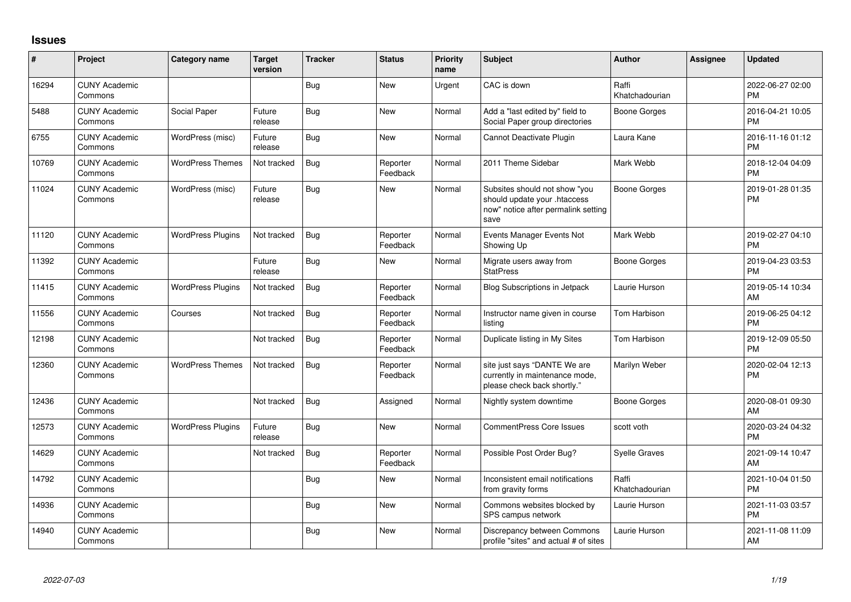## **Issues**

| #     | Project                         | Category name            | <b>Target</b><br>version | <b>Tracker</b> | <b>Status</b>        | <b>Priority</b><br>name | <b>Subject</b>                                                                                               | <b>Author</b>           | <b>Assignee</b> | <b>Updated</b>                |
|-------|---------------------------------|--------------------------|--------------------------|----------------|----------------------|-------------------------|--------------------------------------------------------------------------------------------------------------|-------------------------|-----------------|-------------------------------|
| 16294 | <b>CUNY Academic</b><br>Commons |                          |                          | <b>Bug</b>     | <b>New</b>           | Urgent                  | CAC is down                                                                                                  | Raffi<br>Khatchadourian |                 | 2022-06-27 02:00<br><b>PM</b> |
| 5488  | <b>CUNY Academic</b><br>Commons | Social Paper             | Future<br>release        | Bug            | <b>New</b>           | Normal                  | Add a "last edited by" field to<br>Social Paper group directories                                            | <b>Boone Gorges</b>     |                 | 2016-04-21 10:05<br><b>PM</b> |
| 6755  | <b>CUNY Academic</b><br>Commons | WordPress (misc)         | Future<br>release        | Bug            | <b>New</b>           | Normal                  | Cannot Deactivate Plugin                                                                                     | Laura Kane              |                 | 2016-11-16 01:12<br><b>PM</b> |
| 10769 | <b>CUNY Academic</b><br>Commons | <b>WordPress Themes</b>  | Not tracked              | <b>Bug</b>     | Reporter<br>Feedback | Normal                  | 2011 Theme Sidebar                                                                                           | Mark Webb               |                 | 2018-12-04 04:09<br><b>PM</b> |
| 11024 | <b>CUNY Academic</b><br>Commons | WordPress (misc)         | Future<br>release        | Bug            | <b>New</b>           | Normal                  | Subsites should not show "you<br>should update your .htaccess<br>now" notice after permalink setting<br>save | <b>Boone Gorges</b>     |                 | 2019-01-28 01:35<br><b>PM</b> |
| 11120 | <b>CUNY Academic</b><br>Commons | <b>WordPress Plugins</b> | Not tracked              | <b>Bug</b>     | Reporter<br>Feedback | Normal                  | Events Manager Events Not<br>Showing Up                                                                      | Mark Webb               |                 | 2019-02-27 04:10<br><b>PM</b> |
| 11392 | <b>CUNY Academic</b><br>Commons |                          | Future<br>release        | Bug            | New                  | Normal                  | Migrate users away from<br><b>StatPress</b>                                                                  | <b>Boone Gorges</b>     |                 | 2019-04-23 03:53<br><b>PM</b> |
| 11415 | <b>CUNY Academic</b><br>Commons | <b>WordPress Plugins</b> | Not tracked              | Bug            | Reporter<br>Feedback | Normal                  | <b>Blog Subscriptions in Jetpack</b>                                                                         | Laurie Hurson           |                 | 2019-05-14 10:34<br>AM        |
| 11556 | <b>CUNY Academic</b><br>Commons | Courses                  | Not tracked              | Bug            | Reporter<br>Feedback | Normal                  | Instructor name given in course<br>listina                                                                   | Tom Harbison            |                 | 2019-06-25 04:12<br><b>PM</b> |
| 12198 | <b>CUNY Academic</b><br>Commons |                          | Not tracked              | Bug            | Reporter<br>Feedback | Normal                  | Duplicate listing in My Sites                                                                                | Tom Harbison            |                 | 2019-12-09 05:50<br><b>PM</b> |
| 12360 | <b>CUNY Academic</b><br>Commons | <b>WordPress Themes</b>  | Not tracked              | <b>Bug</b>     | Reporter<br>Feedback | Normal                  | site just says "DANTE We are<br>currently in maintenance mode,<br>please check back shortly."                | Marilyn Weber           |                 | 2020-02-04 12:13<br><b>PM</b> |
| 12436 | <b>CUNY Academic</b><br>Commons |                          | Not tracked              | Bug            | Assigned             | Normal                  | Nightly system downtime                                                                                      | <b>Boone Gorges</b>     |                 | 2020-08-01 09:30<br>AM        |
| 12573 | <b>CUNY Academic</b><br>Commons | <b>WordPress Plugins</b> | Future<br>release        | Bug            | <b>New</b>           | Normal                  | <b>CommentPress Core Issues</b>                                                                              | scott voth              |                 | 2020-03-24 04:32<br><b>PM</b> |
| 14629 | <b>CUNY Academic</b><br>Commons |                          | Not tracked              | Bug            | Reporter<br>Feedback | Normal                  | Possible Post Order Bug?                                                                                     | <b>Syelle Graves</b>    |                 | 2021-09-14 10:47<br>AM        |
| 14792 | <b>CUNY Academic</b><br>Commons |                          |                          | <b>Bug</b>     | <b>New</b>           | Normal                  | Inconsistent email notifications<br>from gravity forms                                                       | Raffi<br>Khatchadourian |                 | 2021-10-04 01:50<br><b>PM</b> |
| 14936 | <b>CUNY Academic</b><br>Commons |                          |                          | Bug            | <b>New</b>           | Normal                  | Commons websites blocked by<br>SPS campus network                                                            | Laurie Hurson           |                 | 2021-11-03 03:57<br><b>PM</b> |
| 14940 | <b>CUNY Academic</b><br>Commons |                          |                          | Bug            | <b>New</b>           | Normal                  | Discrepancy between Commons<br>profile "sites" and actual # of sites                                         | Laurie Hurson           |                 | 2021-11-08 11:09<br>AM        |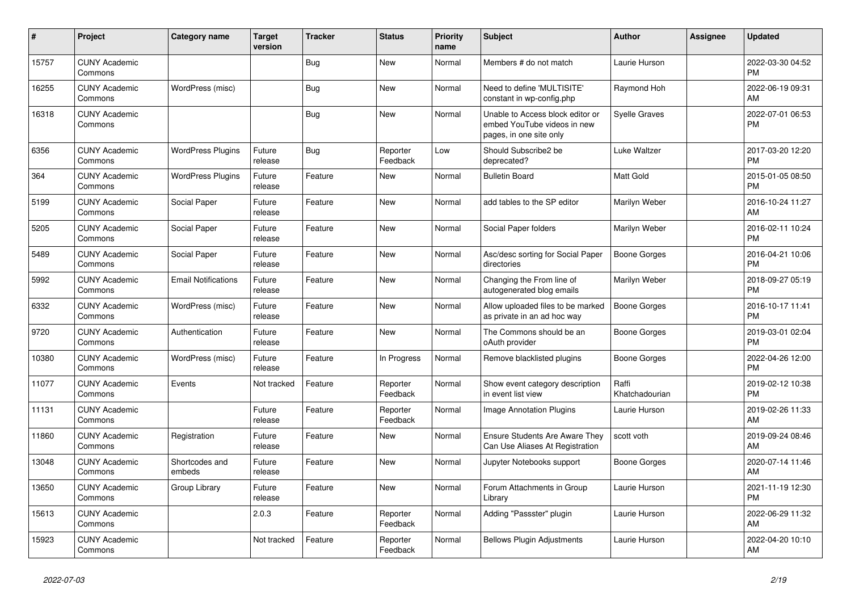| #     | Project                         | <b>Category name</b>       | <b>Target</b><br>version | <b>Tracker</b> | <b>Status</b>        | <b>Priority</b><br>name | <b>Subject</b>                                                                             | <b>Author</b>           | <b>Assignee</b> | <b>Updated</b>                |
|-------|---------------------------------|----------------------------|--------------------------|----------------|----------------------|-------------------------|--------------------------------------------------------------------------------------------|-------------------------|-----------------|-------------------------------|
| 15757 | <b>CUNY Academic</b><br>Commons |                            |                          | <b>Bug</b>     | New                  | Normal                  | Members # do not match                                                                     | Laurie Hurson           |                 | 2022-03-30 04:52<br><b>PM</b> |
| 16255 | <b>CUNY Academic</b><br>Commons | WordPress (misc)           |                          | Bug            | New                  | Normal                  | Need to define 'MULTISITE'<br>constant in wp-config.php                                    | Raymond Hoh             |                 | 2022-06-19 09:31<br>AM        |
| 16318 | <b>CUNY Academic</b><br>Commons |                            |                          | <b>Bug</b>     | <b>New</b>           | Normal                  | Unable to Access block editor or<br>embed YouTube videos in new<br>pages, in one site only | <b>Syelle Graves</b>    |                 | 2022-07-01 06:53<br><b>PM</b> |
| 6356  | <b>CUNY Academic</b><br>Commons | <b>WordPress Plugins</b>   | Future<br>release        | Bug            | Reporter<br>Feedback | Low                     | Should Subscribe2 be<br>deprecated?                                                        | Luke Waltzer            |                 | 2017-03-20 12:20<br><b>PM</b> |
| 364   | <b>CUNY Academic</b><br>Commons | <b>WordPress Plugins</b>   | Future<br>release        | Feature        | New                  | Normal                  | <b>Bulletin Board</b>                                                                      | <b>Matt Gold</b>        |                 | 2015-01-05 08:50<br><b>PM</b> |
| 5199  | <b>CUNY Academic</b><br>Commons | Social Paper               | Future<br>release        | Feature        | <b>New</b>           | Normal                  | add tables to the SP editor                                                                | Marilyn Weber           |                 | 2016-10-24 11:27<br>AM        |
| 5205  | <b>CUNY Academic</b><br>Commons | Social Paper               | Future<br>release        | Feature        | <b>New</b>           | Normal                  | Social Paper folders                                                                       | Marilyn Weber           |                 | 2016-02-11 10:24<br><b>PM</b> |
| 5489  | <b>CUNY Academic</b><br>Commons | Social Paper               | Future<br>release        | Feature        | <b>New</b>           | Normal                  | Asc/desc sorting for Social Paper<br>directories                                           | Boone Gorges            |                 | 2016-04-21 10:06<br><b>PM</b> |
| 5992  | <b>CUNY Academic</b><br>Commons | <b>Email Notifications</b> | Future<br>release        | Feature        | <b>New</b>           | Normal                  | Changing the From line of<br>autogenerated blog emails                                     | Marilyn Weber           |                 | 2018-09-27 05:19<br><b>PM</b> |
| 6332  | <b>CUNY Academic</b><br>Commons | WordPress (misc)           | Future<br>release        | Feature        | <b>New</b>           | Normal                  | Allow uploaded files to be marked<br>as private in an ad hoc way                           | <b>Boone Gorges</b>     |                 | 2016-10-17 11:41<br><b>PM</b> |
| 9720  | <b>CUNY Academic</b><br>Commons | Authentication             | Future<br>release        | Feature        | New                  | Normal                  | The Commons should be an<br>oAuth provider                                                 | Boone Gorges            |                 | 2019-03-01 02:04<br><b>PM</b> |
| 10380 | <b>CUNY Academic</b><br>Commons | WordPress (misc)           | Future<br>release        | Feature        | In Progress          | Normal                  | Remove blacklisted plugins                                                                 | Boone Gorges            |                 | 2022-04-26 12:00<br><b>PM</b> |
| 11077 | <b>CUNY Academic</b><br>Commons | Events                     | Not tracked              | Feature        | Reporter<br>Feedback | Normal                  | Show event category description<br>in event list view                                      | Raffi<br>Khatchadourian |                 | 2019-02-12 10:38<br><b>PM</b> |
| 11131 | <b>CUNY Academic</b><br>Commons |                            | Future<br>release        | Feature        | Reporter<br>Feedback | Normal                  | Image Annotation Plugins                                                                   | Laurie Hurson           |                 | 2019-02-26 11:33<br>AM        |
| 11860 | <b>CUNY Academic</b><br>Commons | Registration               | Future<br>release        | Feature        | New                  | Normal                  | <b>Ensure Students Are Aware They</b><br>Can Use Aliases At Registration                   | scott voth              |                 | 2019-09-24 08:46<br>AM        |
| 13048 | <b>CUNY Academic</b><br>Commons | Shortcodes and<br>embeds   | Future<br>release        | Feature        | <b>New</b>           | Normal                  | Jupyter Notebooks support                                                                  | Boone Gorges            |                 | 2020-07-14 11:46<br>AM        |
| 13650 | <b>CUNY Academic</b><br>Commons | Group Library              | Future<br>release        | Feature        | <b>New</b>           | Normal                  | Forum Attachments in Group<br>Library                                                      | Laurie Hurson           |                 | 2021-11-19 12:30<br><b>PM</b> |
| 15613 | <b>CUNY Academic</b><br>Commons |                            | 2.0.3                    | Feature        | Reporter<br>Feedback | Normal                  | Adding "Passster" plugin                                                                   | Laurie Hurson           |                 | 2022-06-29 11:32<br>AM        |
| 15923 | <b>CUNY Academic</b><br>Commons |                            | Not tracked              | Feature        | Reporter<br>Feedback | Normal                  | <b>Bellows Plugin Adjustments</b>                                                          | Laurie Hurson           |                 | 2022-04-20 10:10<br>AM        |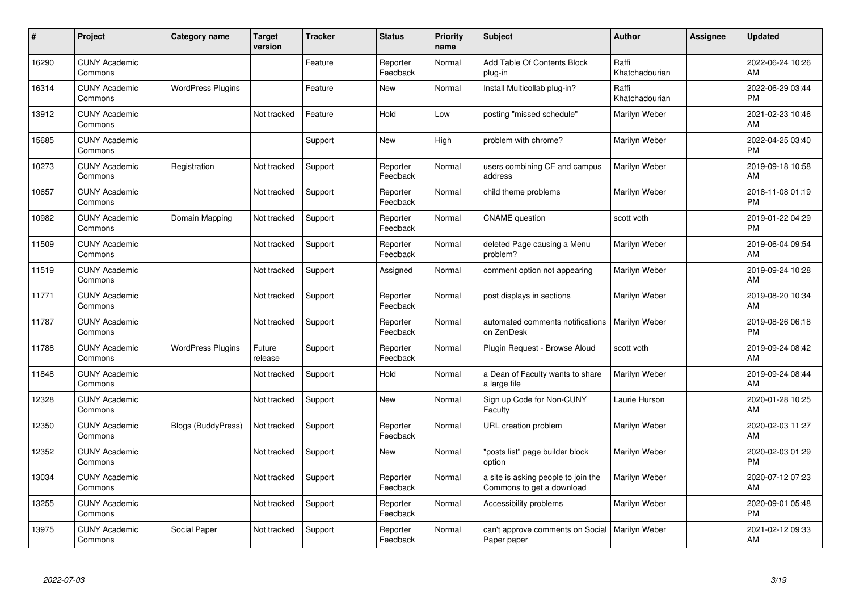| #     | Project                         | Category name            | <b>Target</b><br>version | <b>Tracker</b> | <b>Status</b>        | <b>Priority</b><br>name | <b>Subject</b>                                                   | <b>Author</b>           | <b>Assignee</b> | <b>Updated</b>                |
|-------|---------------------------------|--------------------------|--------------------------|----------------|----------------------|-------------------------|------------------------------------------------------------------|-------------------------|-----------------|-------------------------------|
| 16290 | <b>CUNY Academic</b><br>Commons |                          |                          | Feature        | Reporter<br>Feedback | Normal                  | Add Table Of Contents Block<br>plug-in                           | Raffi<br>Khatchadourian |                 | 2022-06-24 10:26<br>AM        |
| 16314 | <b>CUNY Academic</b><br>Commons | <b>WordPress Plugins</b> |                          | Feature        | <b>New</b>           | Normal                  | Install Multicollab plug-in?                                     | Raffi<br>Khatchadourian |                 | 2022-06-29 03:44<br><b>PM</b> |
| 13912 | <b>CUNY Academic</b><br>Commons |                          | Not tracked              | Feature        | Hold                 | Low                     | posting "missed schedule"                                        | Marilyn Weber           |                 | 2021-02-23 10:46<br>AM        |
| 15685 | <b>CUNY Academic</b><br>Commons |                          |                          | Support        | <b>New</b>           | High                    | problem with chrome?                                             | Marilyn Weber           |                 | 2022-04-25 03:40<br><b>PM</b> |
| 10273 | <b>CUNY Academic</b><br>Commons | Registration             | Not tracked              | Support        | Reporter<br>Feedback | Normal                  | users combining CF and campus<br>address                         | Marilyn Weber           |                 | 2019-09-18 10:58<br>AM        |
| 10657 | <b>CUNY Academic</b><br>Commons |                          | Not tracked              | Support        | Reporter<br>Feedback | Normal                  | child theme problems                                             | Marilyn Weber           |                 | 2018-11-08 01:19<br><b>PM</b> |
| 10982 | <b>CUNY Academic</b><br>Commons | Domain Mapping           | Not tracked              | Support        | Reporter<br>Feedback | Normal                  | <b>CNAME</b> question                                            | scott voth              |                 | 2019-01-22 04:29<br><b>PM</b> |
| 11509 | <b>CUNY Academic</b><br>Commons |                          | Not tracked              | Support        | Reporter<br>Feedback | Normal                  | deleted Page causing a Menu<br>problem?                          | Marilyn Weber           |                 | 2019-06-04 09:54<br>AM        |
| 11519 | <b>CUNY Academic</b><br>Commons |                          | Not tracked              | Support        | Assigned             | Normal                  | comment option not appearing                                     | Marilyn Weber           |                 | 2019-09-24 10:28<br>AM        |
| 11771 | <b>CUNY Academic</b><br>Commons |                          | Not tracked              | Support        | Reporter<br>Feedback | Normal                  | post displays in sections                                        | Marilyn Weber           |                 | 2019-08-20 10:34<br>AM        |
| 11787 | <b>CUNY Academic</b><br>Commons |                          | Not tracked              | Support        | Reporter<br>Feedback | Normal                  | automated comments notifications<br>on ZenDesk                   | Marilyn Weber           |                 | 2019-08-26 06:18<br><b>PM</b> |
| 11788 | <b>CUNY Academic</b><br>Commons | <b>WordPress Plugins</b> | Future<br>release        | Support        | Reporter<br>Feedback | Normal                  | Plugin Request - Browse Aloud                                    | scott voth              |                 | 2019-09-24 08:42<br>AM        |
| 11848 | <b>CUNY Academic</b><br>Commons |                          | Not tracked              | Support        | Hold                 | Normal                  | a Dean of Faculty wants to share<br>a large file                 | Marilyn Weber           |                 | 2019-09-24 08:44<br>AM        |
| 12328 | <b>CUNY Academic</b><br>Commons |                          | Not tracked              | Support        | <b>New</b>           | Normal                  | Sign up Code for Non-CUNY<br>Faculty                             | Laurie Hurson           |                 | 2020-01-28 10:25<br>AM        |
| 12350 | <b>CUNY Academic</b><br>Commons | Blogs (BuddyPress)       | Not tracked              | Support        | Reporter<br>Feedback | Normal                  | URL creation problem                                             | Marilyn Weber           |                 | 2020-02-03 11:27<br>AM        |
| 12352 | <b>CUNY Academic</b><br>Commons |                          | Not tracked              | Support        | <b>New</b>           | Normal                  | "posts list" page builder block<br>option                        | Marilyn Weber           |                 | 2020-02-03 01:29<br><b>PM</b> |
| 13034 | <b>CUNY Academic</b><br>Commons |                          | Not tracked              | Support        | Reporter<br>Feedback | Normal                  | a site is asking people to join the<br>Commons to get a download | Marilyn Weber           |                 | 2020-07-12 07:23<br>AM        |
| 13255 | <b>CUNY Academic</b><br>Commons |                          | Not tracked              | Support        | Reporter<br>Feedback | Normal                  | Accessibility problems                                           | Marilyn Weber           |                 | 2020-09-01 05:48<br><b>PM</b> |
| 13975 | <b>CUNY Academic</b><br>Commons | Social Paper             | Not tracked              | Support        | Reporter<br>Feedback | Normal                  | can't approve comments on Social<br>Paper paper                  | Marilyn Weber           |                 | 2021-02-12 09:33<br>AM        |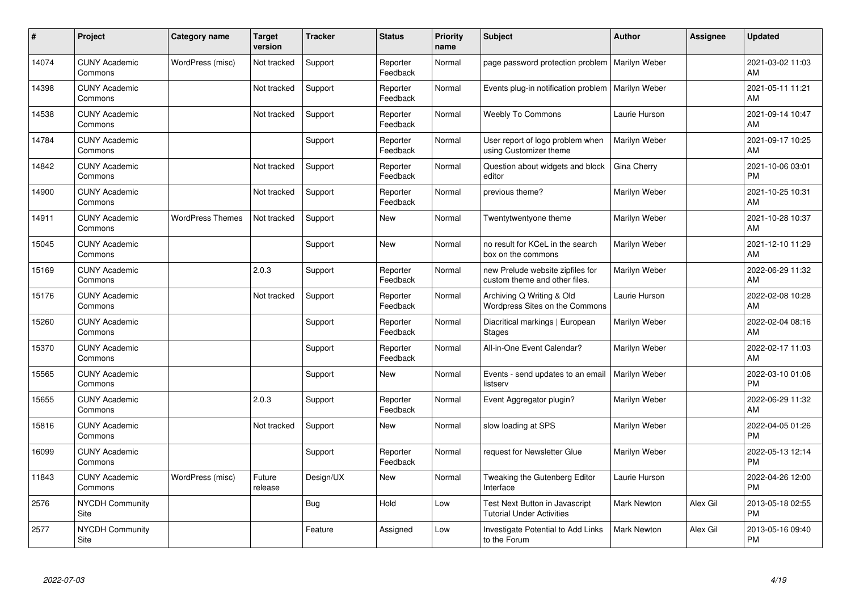| #     | Project                         | <b>Category name</b>    | <b>Target</b><br>version | <b>Tracker</b> | <b>Status</b>        | <b>Priority</b><br>name | <b>Subject</b>                                                     | <b>Author</b>      | Assignee | <b>Updated</b>                |
|-------|---------------------------------|-------------------------|--------------------------|----------------|----------------------|-------------------------|--------------------------------------------------------------------|--------------------|----------|-------------------------------|
| 14074 | <b>CUNY Academic</b><br>Commons | WordPress (misc)        | Not tracked              | Support        | Reporter<br>Feedback | Normal                  | page password protection problem                                   | Marilyn Weber      |          | 2021-03-02 11:03<br>AM        |
| 14398 | <b>CUNY Academic</b><br>Commons |                         | Not tracked              | Support        | Reporter<br>Feedback | Normal                  | Events plug-in notification problem                                | Marilyn Weber      |          | 2021-05-11 11:21<br>AM        |
| 14538 | <b>CUNY Academic</b><br>Commons |                         | Not tracked              | Support        | Reporter<br>Feedback | Normal                  | <b>Weebly To Commons</b>                                           | Laurie Hurson      |          | 2021-09-14 10:47<br>AM        |
| 14784 | <b>CUNY Academic</b><br>Commons |                         |                          | Support        | Reporter<br>Feedback | Normal                  | User report of logo problem when<br>using Customizer theme         | Marilyn Weber      |          | 2021-09-17 10:25<br>AM        |
| 14842 | <b>CUNY Academic</b><br>Commons |                         | Not tracked              | Support        | Reporter<br>Feedback | Normal                  | Question about widgets and block<br>editor                         | Gina Cherry        |          | 2021-10-06 03:01<br><b>PM</b> |
| 14900 | <b>CUNY Academic</b><br>Commons |                         | Not tracked              | Support        | Reporter<br>Feedback | Normal                  | previous theme?                                                    | Marilyn Weber      |          | 2021-10-25 10:31<br>AM        |
| 14911 | <b>CUNY Academic</b><br>Commons | <b>WordPress Themes</b> | Not tracked              | Support        | New                  | Normal                  | Twentytwentyone theme                                              | Marilyn Weber      |          | 2021-10-28 10:37<br>AM        |
| 15045 | <b>CUNY Academic</b><br>Commons |                         |                          | Support        | <b>New</b>           | Normal                  | no result for KCeL in the search<br>box on the commons             | Marilyn Weber      |          | 2021-12-10 11:29<br>AM        |
| 15169 | <b>CUNY Academic</b><br>Commons |                         | 2.0.3                    | Support        | Reporter<br>Feedback | Normal                  | new Prelude website zipfiles for<br>custom theme and other files.  | Marilyn Weber      |          | 2022-06-29 11:32<br>AM        |
| 15176 | <b>CUNY Academic</b><br>Commons |                         | Not tracked              | Support        | Reporter<br>Feedback | Normal                  | Archiving Q Writing & Old<br>Wordpress Sites on the Commons        | Laurie Hurson      |          | 2022-02-08 10:28<br>AM        |
| 15260 | <b>CUNY Academic</b><br>Commons |                         |                          | Support        | Reporter<br>Feedback | Normal                  | Diacritical markings   European<br><b>Stages</b>                   | Marilyn Weber      |          | 2022-02-04 08:16<br>AM        |
| 15370 | <b>CUNY Academic</b><br>Commons |                         |                          | Support        | Reporter<br>Feedback | Normal                  | All-in-One Event Calendar?                                         | Marilyn Weber      |          | 2022-02-17 11:03<br>AM        |
| 15565 | <b>CUNY Academic</b><br>Commons |                         |                          | Support        | New                  | Normal                  | Events - send updates to an email<br>listserv                      | Marilyn Weber      |          | 2022-03-10 01:06<br><b>PM</b> |
| 15655 | <b>CUNY Academic</b><br>Commons |                         | 2.0.3                    | Support        | Reporter<br>Feedback | Normal                  | Event Aggregator plugin?                                           | Marilyn Weber      |          | 2022-06-29 11:32<br>AM        |
| 15816 | <b>CUNY Academic</b><br>Commons |                         | Not tracked              | Support        | New                  | Normal                  | slow loading at SPS                                                | Marilyn Weber      |          | 2022-04-05 01:26<br><b>PM</b> |
| 16099 | <b>CUNY Academic</b><br>Commons |                         |                          | Support        | Reporter<br>Feedback | Normal                  | request for Newsletter Glue                                        | Marilyn Weber      |          | 2022-05-13 12:14<br><b>PM</b> |
| 11843 | <b>CUNY Academic</b><br>Commons | WordPress (misc)        | Future<br>release        | Design/UX      | New                  | Normal                  | Tweaking the Gutenberg Editor<br>Interface                         | Laurie Hurson      |          | 2022-04-26 12:00<br><b>PM</b> |
| 2576  | <b>NYCDH Community</b><br>Site  |                         |                          | Bug            | Hold                 | Low                     | Test Next Button in Javascript<br><b>Tutorial Under Activities</b> | <b>Mark Newton</b> | Alex Gil | 2013-05-18 02:55<br><b>PM</b> |
| 2577  | NYCDH Community<br>Site         |                         |                          | Feature        | Assigned             | Low                     | Investigate Potential to Add Links<br>to the Forum                 | Mark Newton        | Alex Gil | 2013-05-16 09:40<br>PM        |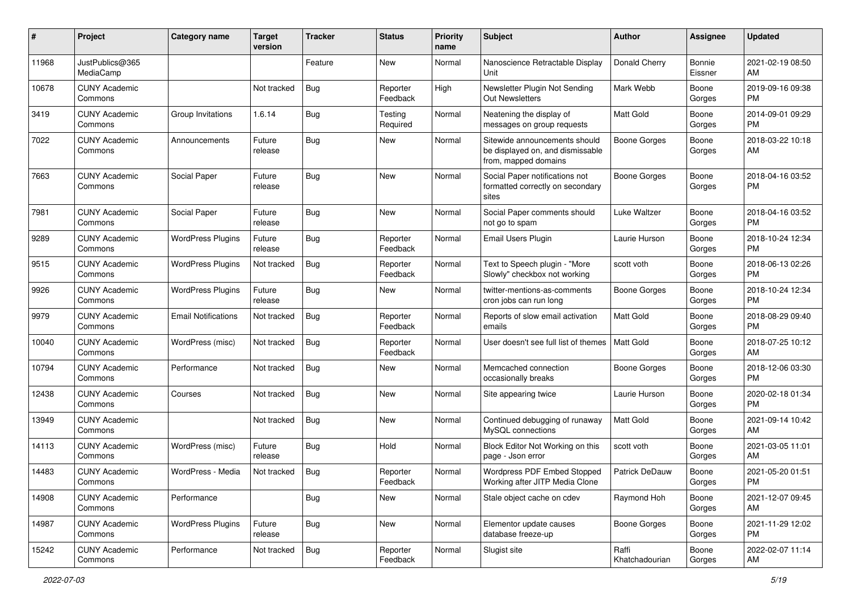| #     | Project                         | <b>Category name</b>       | <b>Target</b><br>version | <b>Tracker</b> | <b>Status</b>        | Priority<br>name | <b>Subject</b>                                                                            | <b>Author</b>           | <b>Assignee</b>   | <b>Updated</b>                |
|-------|---------------------------------|----------------------------|--------------------------|----------------|----------------------|------------------|-------------------------------------------------------------------------------------------|-------------------------|-------------------|-------------------------------|
| 11968 | JustPublics@365<br>MediaCamp    |                            |                          | Feature        | New                  | Normal           | Nanoscience Retractable Display<br>Unit                                                   | Donald Cherry           | Bonnie<br>Eissner | 2021-02-19 08:50<br>AM        |
| 10678 | <b>CUNY Academic</b><br>Commons |                            | Not tracked              | Bug            | Reporter<br>Feedback | High             | Newsletter Plugin Not Sending<br><b>Out Newsletters</b>                                   | Mark Webb               | Boone<br>Gorges   | 2019-09-16 09:38<br><b>PM</b> |
| 3419  | <b>CUNY Academic</b><br>Commons | Group Invitations          | 1.6.14                   | <b>Bug</b>     | Testing<br>Required  | Normal           | Neatening the display of<br>messages on group requests                                    | <b>Matt Gold</b>        | Boone<br>Gorges   | 2014-09-01 09:29<br><b>PM</b> |
| 7022  | <b>CUNY Academic</b><br>Commons | Announcements              | Future<br>release        | Bug            | New                  | Normal           | Sitewide announcements should<br>be displayed on, and dismissable<br>from, mapped domains | Boone Gorges            | Boone<br>Gorges   | 2018-03-22 10:18<br>AM        |
| 7663  | <b>CUNY Academic</b><br>Commons | Social Paper               | Future<br>release        | Bug            | New                  | Normal           | Social Paper notifications not<br>formatted correctly on secondary<br>sites               | <b>Boone Gorges</b>     | Boone<br>Gorges   | 2018-04-16 03:52<br><b>PM</b> |
| 7981  | <b>CUNY Academic</b><br>Commons | Social Paper               | Future<br>release        | <b>Bug</b>     | New                  | Normal           | Social Paper comments should<br>not go to spam                                            | Luke Waltzer            | Boone<br>Gorges   | 2018-04-16 03:52<br><b>PM</b> |
| 9289  | <b>CUNY Academic</b><br>Commons | <b>WordPress Plugins</b>   | Future<br>release        | <b>Bug</b>     | Reporter<br>Feedback | Normal           | Email Users Plugin                                                                        | Laurie Hurson           | Boone<br>Gorges   | 2018-10-24 12:34<br><b>PM</b> |
| 9515  | <b>CUNY Academic</b><br>Commons | <b>WordPress Plugins</b>   | Not tracked              | Bug            | Reporter<br>Feedback | Normal           | Text to Speech plugin - "More<br>Slowly" checkbox not working                             | scott voth              | Boone<br>Gorges   | 2018-06-13 02:26<br><b>PM</b> |
| 9926  | <b>CUNY Academic</b><br>Commons | <b>WordPress Plugins</b>   | Future<br>release        | Bug            | New                  | Normal           | twitter-mentions-as-comments<br>cron jobs can run long                                    | Boone Gorges            | Boone<br>Gorges   | 2018-10-24 12:34<br><b>PM</b> |
| 9979  | <b>CUNY Academic</b><br>Commons | <b>Email Notifications</b> | Not tracked              | Bug            | Reporter<br>Feedback | Normal           | Reports of slow email activation<br>emails                                                | <b>Matt Gold</b>        | Boone<br>Gorges   | 2018-08-29 09:40<br><b>PM</b> |
| 10040 | <b>CUNY Academic</b><br>Commons | WordPress (misc)           | Not tracked              | <b>Bug</b>     | Reporter<br>Feedback | Normal           | User doesn't see full list of themes                                                      | Matt Gold               | Boone<br>Gorges   | 2018-07-25 10:12<br>AM        |
| 10794 | <b>CUNY Academic</b><br>Commons | Performance                | Not tracked              | Bug            | New                  | Normal           | Memcached connection<br>occasionally breaks                                               | Boone Gorges            | Boone<br>Gorges   | 2018-12-06 03:30<br><b>PM</b> |
| 12438 | <b>CUNY Academic</b><br>Commons | Courses                    | Not tracked              | Bug            | New                  | Normal           | Site appearing twice                                                                      | Laurie Hurson           | Boone<br>Gorges   | 2020-02-18 01:34<br><b>PM</b> |
| 13949 | <b>CUNY Academic</b><br>Commons |                            | Not tracked              | Bug            | <b>New</b>           | Normal           | Continued debugging of runaway<br>MySQL connections                                       | <b>Matt Gold</b>        | Boone<br>Gorges   | 2021-09-14 10:42<br>AM        |
| 14113 | <b>CUNY Academic</b><br>Commons | WordPress (misc)           | Future<br>release        | Bug            | Hold                 | Normal           | Block Editor Not Working on this<br>page - Json error                                     | scott voth              | Boone<br>Gorges   | 2021-03-05 11:01<br>AM        |
| 14483 | <b>CUNY Academic</b><br>Commons | WordPress - Media          | Not tracked              | Bug            | Reporter<br>Feedback | Normal           | Wordpress PDF Embed Stopped<br>Working after JITP Media Clone                             | Patrick DeDauw          | Boone<br>Gorges   | 2021-05-20 01:51<br>PM        |
| 14908 | <b>CUNY Academic</b><br>Commons | Performance                |                          | Bug            | New                  | Normal           | Stale object cache on cdev                                                                | Raymond Hoh             | Boone<br>Gorges   | 2021-12-07 09:45<br>AM        |
| 14987 | <b>CUNY Academic</b><br>Commons | <b>WordPress Plugins</b>   | Future<br>release        | <b>Bug</b>     | New                  | Normal           | Elementor update causes<br>database freeze-up                                             | Boone Gorges            | Boone<br>Gorges   | 2021-11-29 12:02<br><b>PM</b> |
| 15242 | <b>CUNY Academic</b><br>Commons | Performance                | Not tracked              | Bug            | Reporter<br>Feedback | Normal           | Slugist site                                                                              | Raffi<br>Khatchadourian | Boone<br>Gorges   | 2022-02-07 11:14<br>AM        |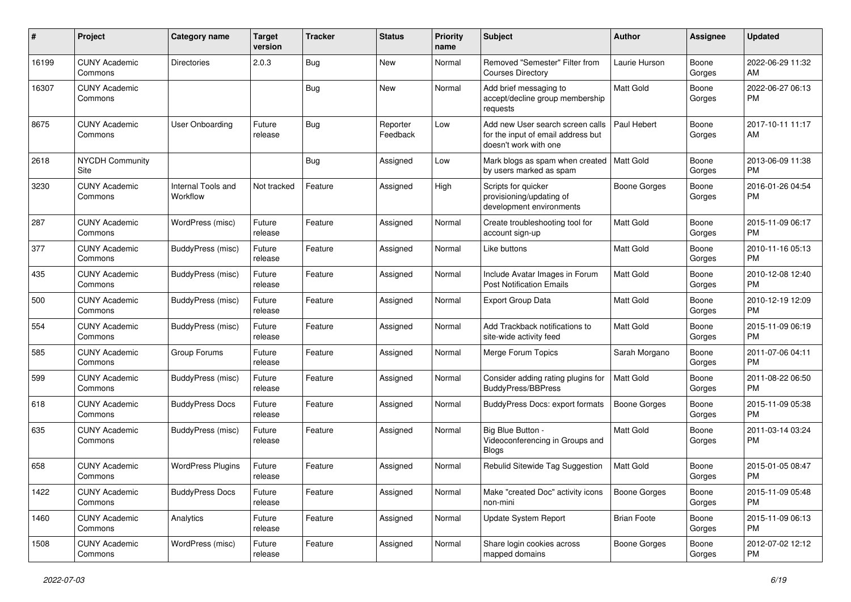| #     | Project                         | <b>Category name</b>           | <b>Target</b><br>version | <b>Tracker</b> | <b>Status</b>        | <b>Priority</b><br>name | <b>Subject</b>                                                                                  | Author              | <b>Assignee</b> | <b>Updated</b>                |
|-------|---------------------------------|--------------------------------|--------------------------|----------------|----------------------|-------------------------|-------------------------------------------------------------------------------------------------|---------------------|-----------------|-------------------------------|
| 16199 | <b>CUNY Academic</b><br>Commons | Directories                    | 2.0.3                    | Bug            | New                  | Normal                  | Removed "Semester" Filter from<br><b>Courses Directory</b>                                      | Laurie Hurson       | Boone<br>Gorges | 2022-06-29 11:32<br>AM        |
| 16307 | <b>CUNY Academic</b><br>Commons |                                |                          | Bug            | New                  | Normal                  | Add brief messaging to<br>accept/decline group membership<br>requests                           | Matt Gold           | Boone<br>Gorges | 2022-06-27 06:13<br><b>PM</b> |
| 8675  | <b>CUNY Academic</b><br>Commons | User Onboarding                | Future<br>release        | Bug            | Reporter<br>Feedback | Low                     | Add new User search screen calls<br>for the input of email address but<br>doesn't work with one | Paul Hebert         | Boone<br>Gorges | 2017-10-11 11:17<br>AM        |
| 2618  | <b>NYCDH Community</b><br>Site  |                                |                          | <b>Bug</b>     | Assigned             | Low                     | Mark blogs as spam when created   Matt Gold<br>by users marked as spam                          |                     | Boone<br>Gorges | 2013-06-09 11:38<br><b>PM</b> |
| 3230  | <b>CUNY Academic</b><br>Commons | Internal Tools and<br>Workflow | Not tracked              | Feature        | Assigned             | High                    | Scripts for quicker<br>provisioning/updating of<br>development environments                     | <b>Boone Gorges</b> | Boone<br>Gorges | 2016-01-26 04:54<br><b>PM</b> |
| 287   | <b>CUNY Academic</b><br>Commons | WordPress (misc)               | Future<br>release        | Feature        | Assigned             | Normal                  | Create troubleshooting tool for<br>account sign-up                                              | <b>Matt Gold</b>    | Boone<br>Gorges | 2015-11-09 06:17<br><b>PM</b> |
| 377   | <b>CUNY Academic</b><br>Commons | <b>BuddyPress (misc)</b>       | Future<br>release        | Feature        | Assigned             | Normal                  | Like buttons                                                                                    | <b>Matt Gold</b>    | Boone<br>Gorges | 2010-11-16 05:13<br><b>PM</b> |
| 435   | <b>CUNY Academic</b><br>Commons | <b>BuddyPress</b> (misc)       | Future<br>release        | Feature        | Assigned             | Normal                  | Include Avatar Images in Forum<br><b>Post Notification Emails</b>                               | Matt Gold           | Boone<br>Gorges | 2010-12-08 12:40<br><b>PM</b> |
| 500   | <b>CUNY Academic</b><br>Commons | BuddyPress (misc)              | Future<br>release        | Feature        | Assigned             | Normal                  | <b>Export Group Data</b>                                                                        | Matt Gold           | Boone<br>Gorges | 2010-12-19 12:09<br><b>PM</b> |
| 554   | <b>CUNY Academic</b><br>Commons | <b>BuddyPress (misc)</b>       | Future<br>release        | Feature        | Assigned             | Normal                  | Add Trackback notifications to<br>site-wide activity feed                                       | <b>Matt Gold</b>    | Boone<br>Gorges | 2015-11-09 06:19<br><b>PM</b> |
| 585   | <b>CUNY Academic</b><br>Commons | Group Forums                   | Future<br>release        | Feature        | Assigned             | Normal                  | Merge Forum Topics                                                                              | Sarah Morgano       | Boone<br>Gorges | 2011-07-06 04:11<br><b>PM</b> |
| 599   | <b>CUNY Academic</b><br>Commons | <b>BuddyPress</b> (misc)       | Future<br>release        | Feature        | Assigned             | Normal                  | Consider adding rating plugins for<br><b>BuddyPress/BBPress</b>                                 | Matt Gold           | Boone<br>Gorges | 2011-08-22 06:50<br><b>PM</b> |
| 618   | <b>CUNY Academic</b><br>Commons | <b>BuddyPress Docs</b>         | Future<br>release        | Feature        | Assigned             | Normal                  | <b>BuddyPress Docs: export formats</b>                                                          | <b>Boone Gorges</b> | Boone<br>Gorges | 2015-11-09 05:38<br><b>PM</b> |
| 635   | <b>CUNY Academic</b><br>Commons | BuddyPress (misc)              | Future<br>release        | Feature        | Assigned             | Normal                  | Big Blue Button -<br>Videoconferencing in Groups and<br><b>Blogs</b>                            | <b>Matt Gold</b>    | Boone<br>Gorges | 2011-03-14 03:24<br><b>PM</b> |
| 658   | <b>CUNY Academic</b><br>Commons | <b>WordPress Plugins</b>       | Future<br>release        | Feature        | Assigned             | Normal                  | Rebulid Sitewide Tag Suggestion                                                                 | <b>Matt Gold</b>    | Boone<br>Gorges | 2015-01-05 08:47<br><b>PM</b> |
| 1422  | <b>CUNY Academic</b><br>Commons | <b>BuddyPress Docs</b>         | Future<br>release        | Feature        | Assigned             | Normal                  | Make "created Doc" activity icons<br>non-mini                                                   | Boone Gorges        | Boone<br>Gorges | 2015-11-09 05:48<br><b>PM</b> |
| 1460  | <b>CUNY Academic</b><br>Commons | Analytics                      | Future<br>release        | Feature        | Assigned             | Normal                  | Update System Report                                                                            | <b>Brian Foote</b>  | Boone<br>Gorges | 2015-11-09 06:13<br><b>PM</b> |
| 1508  | <b>CUNY Academic</b><br>Commons | WordPress (misc)               | Future<br>release        | Feature        | Assigned             | Normal                  | Share login cookies across<br>mapped domains                                                    | Boone Gorges        | Boone<br>Gorges | 2012-07-02 12:12<br><b>PM</b> |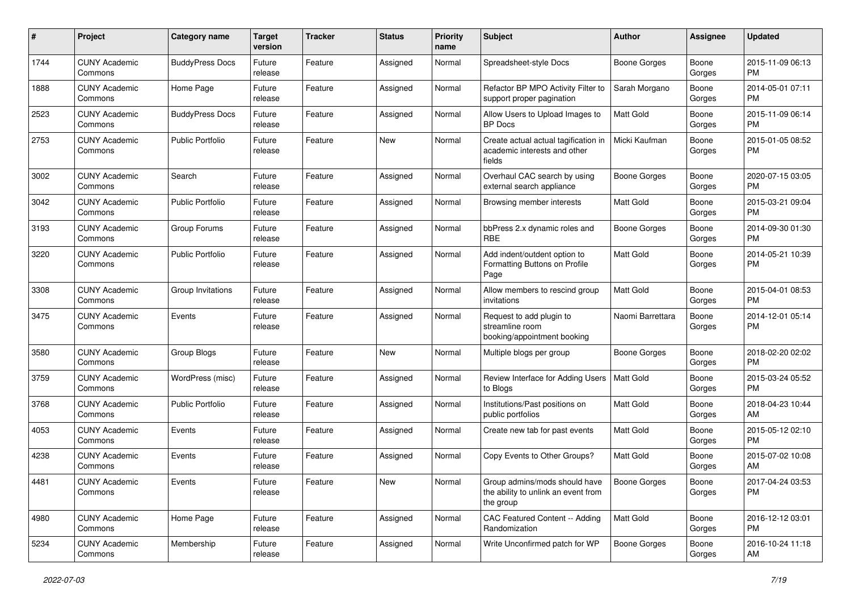| #    | Project                         | <b>Category name</b>    | <b>Target</b><br>version | <b>Tracker</b> | <b>Status</b> | <b>Priority</b><br>name | Subject                                                                           | Author              | Assignee        | <b>Updated</b>                |
|------|---------------------------------|-------------------------|--------------------------|----------------|---------------|-------------------------|-----------------------------------------------------------------------------------|---------------------|-----------------|-------------------------------|
| 1744 | <b>CUNY Academic</b><br>Commons | <b>BuddyPress Docs</b>  | Future<br>release        | Feature        | Assigned      | Normal                  | Spreadsheet-style Docs                                                            | Boone Gorges        | Boone<br>Gorges | 2015-11-09 06:13<br><b>PM</b> |
| 1888 | <b>CUNY Academic</b><br>Commons | Home Page               | Future<br>release        | Feature        | Assigned      | Normal                  | Refactor BP MPO Activity Filter to<br>support proper pagination                   | Sarah Morgano       | Boone<br>Gorges | 2014-05-01 07:11<br><b>PM</b> |
| 2523 | <b>CUNY Academic</b><br>Commons | <b>BuddyPress Docs</b>  | Future<br>release        | Feature        | Assigned      | Normal                  | Allow Users to Upload Images to<br><b>BP</b> Docs                                 | Matt Gold           | Boone<br>Gorges | 2015-11-09 06:14<br><b>PM</b> |
| 2753 | <b>CUNY Academic</b><br>Commons | <b>Public Portfolio</b> | Future<br>release        | Feature        | <b>New</b>    | Normal                  | Create actual actual tagification in<br>academic interests and other<br>fields    | Micki Kaufman       | Boone<br>Gorges | 2015-01-05 08:52<br>PM        |
| 3002 | <b>CUNY Academic</b><br>Commons | Search                  | Future<br>release        | Feature        | Assigned      | Normal                  | Overhaul CAC search by using<br>external search appliance                         | <b>Boone Gorges</b> | Boone<br>Gorges | 2020-07-15 03:05<br><b>PM</b> |
| 3042 | <b>CUNY Academic</b><br>Commons | Public Portfolio        | Future<br>release        | Feature        | Assigned      | Normal                  | Browsing member interests                                                         | <b>Matt Gold</b>    | Boone<br>Gorges | 2015-03-21 09:04<br><b>PM</b> |
| 3193 | <b>CUNY Academic</b><br>Commons | Group Forums            | Future<br>release        | Feature        | Assigned      | Normal                  | bbPress 2.x dynamic roles and<br><b>RBE</b>                                       | <b>Boone Gorges</b> | Boone<br>Gorges | 2014-09-30 01:30<br><b>PM</b> |
| 3220 | <b>CUNY Academic</b><br>Commons | Public Portfolio        | Future<br>release        | Feature        | Assigned      | Normal                  | Add indent/outdent option to<br>Formatting Buttons on Profile<br>Page             | <b>Matt Gold</b>    | Boone<br>Gorges | 2014-05-21 10:39<br><b>PM</b> |
| 3308 | <b>CUNY Academic</b><br>Commons | Group Invitations       | Future<br>release        | Feature        | Assigned      | Normal                  | Allow members to rescind group<br>invitations                                     | <b>Matt Gold</b>    | Boone<br>Gorges | 2015-04-01 08:53<br><b>PM</b> |
| 3475 | <b>CUNY Academic</b><br>Commons | Events                  | Future<br>release        | Feature        | Assigned      | Normal                  | Request to add plugin to<br>streamline room<br>booking/appointment booking        | Naomi Barrettara    | Boone<br>Gorges | 2014-12-01 05:14<br>PM        |
| 3580 | <b>CUNY Academic</b><br>Commons | Group Blogs             | Future<br>release        | Feature        | <b>New</b>    | Normal                  | Multiple blogs per group                                                          | <b>Boone Gorges</b> | Boone<br>Gorges | 2018-02-20 02:02<br><b>PM</b> |
| 3759 | <b>CUNY Academic</b><br>Commons | WordPress (misc)        | Future<br>release        | Feature        | Assigned      | Normal                  | Review Interface for Adding Users<br>to Blogs                                     | <b>Matt Gold</b>    | Boone<br>Gorges | 2015-03-24 05:52<br><b>PM</b> |
| 3768 | <b>CUNY Academic</b><br>Commons | <b>Public Portfolio</b> | Future<br>release        | Feature        | Assigned      | Normal                  | Institutions/Past positions on<br>public portfolios                               | Matt Gold           | Boone<br>Gorges | 2018-04-23 10:44<br>AM        |
| 4053 | <b>CUNY Academic</b><br>Commons | Events                  | Future<br>release        | Feature        | Assigned      | Normal                  | Create new tab for past events                                                    | <b>Matt Gold</b>    | Boone<br>Gorges | 2015-05-12 02:10<br><b>PM</b> |
| 4238 | <b>CUNY Academic</b><br>Commons | Events                  | Future<br>release        | Feature        | Assigned      | Normal                  | Copy Events to Other Groups?                                                      | <b>Matt Gold</b>    | Boone<br>Gorges | 2015-07-02 10:08<br>AM        |
| 4481 | <b>CUNY Academic</b><br>Commons | Events                  | Future<br>release        | Feature        | New           | Normal                  | Group admins/mods should have<br>the ability to unlink an event from<br>the group | Boone Gorges        | Boone<br>Gorges | 2017-04-24 03:53<br><b>PM</b> |
| 4980 | <b>CUNY Academic</b><br>Commons | Home Page               | Future<br>release        | Feature        | Assigned      | Normal                  | CAC Featured Content -- Adding<br>Randomization                                   | <b>Matt Gold</b>    | Boone<br>Gorges | 2016-12-12 03:01<br>PM.       |
| 5234 | <b>CUNY Academic</b><br>Commons | Membership              | Future<br>release        | Feature        | Assigned      | Normal                  | Write Unconfirmed patch for WP                                                    | <b>Boone Gorges</b> | Boone<br>Gorges | 2016-10-24 11:18<br>AM        |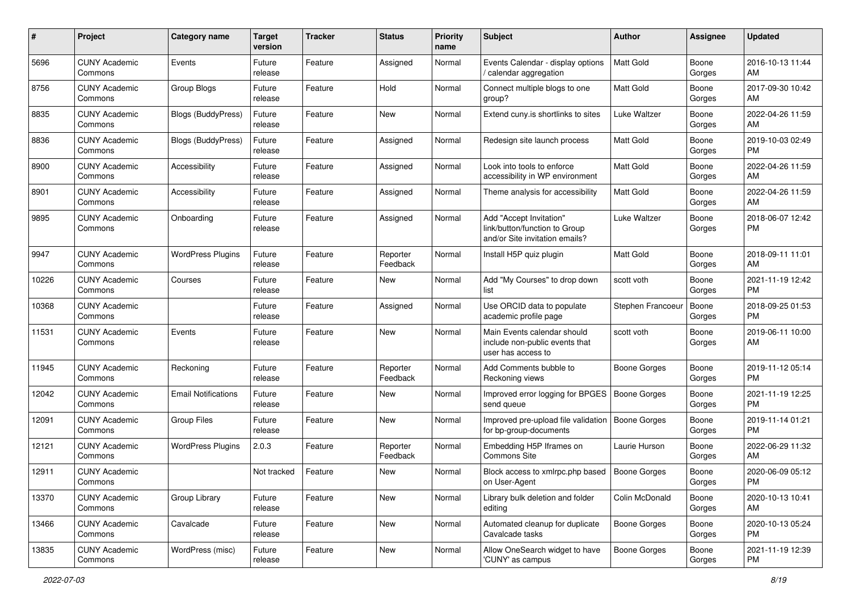| #     | Project                         | <b>Category name</b>       | <b>Target</b><br>version | <b>Tracker</b> | <b>Status</b>        | <b>Priority</b><br>name | Subject                                                                                    | Author              | Assignee        | <b>Updated</b>                |
|-------|---------------------------------|----------------------------|--------------------------|----------------|----------------------|-------------------------|--------------------------------------------------------------------------------------------|---------------------|-----------------|-------------------------------|
| 5696  | <b>CUNY Academic</b><br>Commons | Events                     | Future<br>release        | Feature        | Assigned             | Normal                  | Events Calendar - display options<br>/ calendar aggregation                                | Matt Gold           | Boone<br>Gorges | 2016-10-13 11:44<br>AM        |
| 8756  | <b>CUNY Academic</b><br>Commons | Group Blogs                | Future<br>release        | Feature        | Hold                 | Normal                  | Connect multiple blogs to one<br>group?                                                    | <b>Matt Gold</b>    | Boone<br>Gorges | 2017-09-30 10:42<br>AM        |
| 8835  | <b>CUNY Academic</b><br>Commons | Blogs (BuddyPress)         | Future<br>release        | Feature        | New                  | Normal                  | Extend cuny is shortlinks to sites                                                         | Luke Waltzer        | Boone<br>Gorges | 2022-04-26 11:59<br>AM        |
| 8836  | <b>CUNY Academic</b><br>Commons | Blogs (BuddyPress)         | Future<br>release        | Feature        | Assigned             | Normal                  | Redesign site launch process                                                               | <b>Matt Gold</b>    | Boone<br>Gorges | 2019-10-03 02:49<br><b>PM</b> |
| 8900  | <b>CUNY Academic</b><br>Commons | Accessibility              | Future<br>release        | Feature        | Assigned             | Normal                  | Look into tools to enforce<br>accessibility in WP environment                              | <b>Matt Gold</b>    | Boone<br>Gorges | 2022-04-26 11:59<br>AM        |
| 8901  | <b>CUNY Academic</b><br>Commons | Accessibility              | Future<br>release        | Feature        | Assigned             | Normal                  | Theme analysis for accessibility                                                           | Matt Gold           | Boone<br>Gorges | 2022-04-26 11:59<br>AM        |
| 9895  | <b>CUNY Academic</b><br>Commons | Onboarding                 | Future<br>release        | Feature        | Assigned             | Normal                  | Add "Accept Invitation"<br>link/button/function to Group<br>and/or Site invitation emails? | Luke Waltzer        | Boone<br>Gorges | 2018-06-07 12:42<br><b>PM</b> |
| 9947  | <b>CUNY Academic</b><br>Commons | <b>WordPress Plugins</b>   | Future<br>release        | Feature        | Reporter<br>Feedback | Normal                  | Install H5P quiz plugin                                                                    | <b>Matt Gold</b>    | Boone<br>Gorges | 2018-09-11 11:01<br>AM        |
| 10226 | <b>CUNY Academic</b><br>Commons | Courses                    | Future<br>release        | Feature        | New                  | Normal                  | Add "My Courses" to drop down<br>list                                                      | scott voth          | Boone<br>Gorges | 2021-11-19 12:42<br>PM.       |
| 10368 | <b>CUNY Academic</b><br>Commons |                            | Future<br>release        | Feature        | Assigned             | Normal                  | Use ORCID data to populate<br>academic profile page                                        | Stephen Francoeur   | Boone<br>Gorges | 2018-09-25 01:53<br><b>PM</b> |
| 11531 | <b>CUNY Academic</b><br>Commons | Events                     | Future<br>release        | Feature        | New                  | Normal                  | Main Events calendar should<br>include non-public events that<br>user has access to        | scott voth          | Boone<br>Gorges | 2019-06-11 10:00<br>AM        |
| 11945 | <b>CUNY Academic</b><br>Commons | Reckoning                  | Future<br>release        | Feature        | Reporter<br>Feedback | Normal                  | Add Comments bubble to<br>Reckoning views                                                  | Boone Gorges        | Boone<br>Gorges | 2019-11-12 05:14<br><b>PM</b> |
| 12042 | <b>CUNY Academic</b><br>Commons | <b>Email Notifications</b> | Future<br>release        | Feature        | New                  | Normal                  | Improved error logging for BPGES<br>send queue                                             | Boone Gorges        | Boone<br>Gorges | 2021-11-19 12:25<br><b>PM</b> |
| 12091 | <b>CUNY Academic</b><br>Commons | Group Files                | Future<br>release        | Feature        | New                  | Normal                  | Improved pre-upload file validation<br>for bp-group-documents                              | Boone Gorges        | Boone<br>Gorges | 2019-11-14 01:21<br><b>PM</b> |
| 12121 | <b>CUNY Academic</b><br>Commons | <b>WordPress Plugins</b>   | 2.0.3                    | Feature        | Reporter<br>Feedback | Normal                  | Embedding H5P Iframes on<br>Commons Site                                                   | Laurie Hurson       | Boone<br>Gorges | 2022-06-29 11:32<br>AM        |
| 12911 | <b>CUNY Academic</b><br>Commons |                            | Not tracked              | Feature        | New                  | Normal                  | Block access to xmlrpc.php based<br>on User-Agent                                          | Boone Gorges        | Boone<br>Gorges | 2020-06-09 05:12<br>PM        |
| 13370 | <b>CUNY Academic</b><br>Commons | Group Library              | Future<br>release        | Feature        | New                  | Normal                  | Library bulk deletion and folder<br>editing                                                | Colin McDonald      | Boone<br>Gorges | 2020-10-13 10:41<br>AM        |
| 13466 | <b>CUNY Academic</b><br>Commons | Cavalcade                  | Future<br>release        | Feature        | New                  | Normal                  | Automated cleanup for duplicate<br>Cavalcade tasks                                         | <b>Boone Gorges</b> | Boone<br>Gorges | 2020-10-13 05:24<br><b>PM</b> |
| 13835 | <b>CUNY Academic</b><br>Commons | WordPress (misc)           | Future<br>release        | Feature        | New                  | Normal                  | Allow OneSearch widget to have<br>'CUNY' as campus                                         | <b>Boone Gorges</b> | Boone<br>Gorges | 2021-11-19 12:39<br>PM        |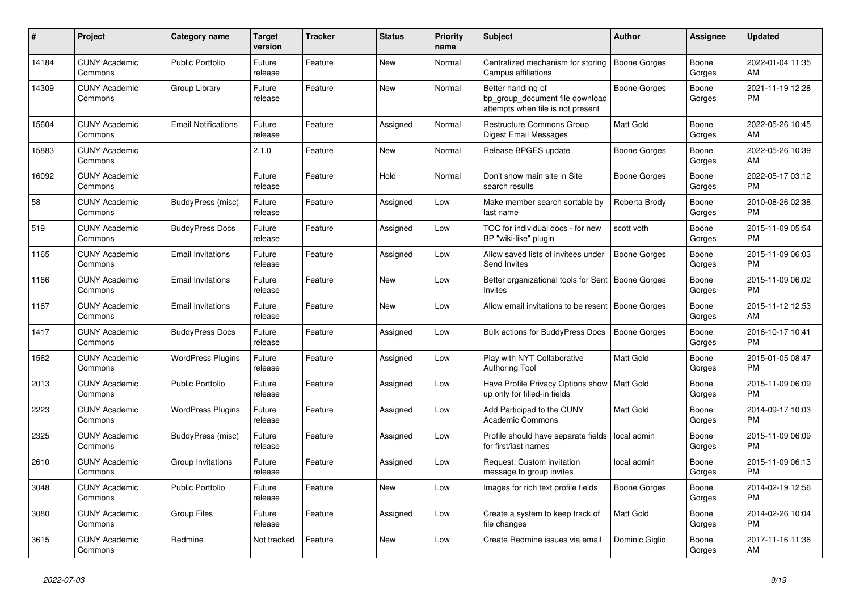| #     | <b>Project</b>                  | <b>Category name</b>       | <b>Target</b><br>version | <b>Tracker</b> | <b>Status</b> | <b>Priority</b><br>name | <b>Subject</b>                                                                             | <b>Author</b>       | Assignee        | <b>Updated</b>                |
|-------|---------------------------------|----------------------------|--------------------------|----------------|---------------|-------------------------|--------------------------------------------------------------------------------------------|---------------------|-----------------|-------------------------------|
| 14184 | <b>CUNY Academic</b><br>Commons | <b>Public Portfolio</b>    | Future<br>release        | Feature        | New           | Normal                  | Centralized mechanism for storing<br>Campus affiliations                                   | <b>Boone Gorges</b> | Boone<br>Gorges | 2022-01-04 11:35<br>AM        |
| 14309 | <b>CUNY Academic</b><br>Commons | Group Library              | Future<br>release        | Feature        | <b>New</b>    | Normal                  | Better handling of<br>bp_group_document file download<br>attempts when file is not present | Boone Gorges        | Boone<br>Gorges | 2021-11-19 12:28<br><b>PM</b> |
| 15604 | <b>CUNY Academic</b><br>Commons | <b>Email Notifications</b> | Future<br>release        | Feature        | Assigned      | Normal                  | Restructure Commons Group<br>Digest Email Messages                                         | Matt Gold           | Boone<br>Gorges | 2022-05-26 10:45<br>AM        |
| 15883 | <b>CUNY Academic</b><br>Commons |                            | 2.1.0                    | Feature        | <b>New</b>    | Normal                  | Release BPGES update                                                                       | Boone Gorges        | Boone<br>Gorges | 2022-05-26 10:39<br>AM        |
| 16092 | <b>CUNY Academic</b><br>Commons |                            | Future<br>release        | Feature        | Hold          | Normal                  | Don't show main site in Site<br>search results                                             | Boone Gorges        | Boone<br>Gorges | 2022-05-17 03:12<br><b>PM</b> |
| 58    | <b>CUNY Academic</b><br>Commons | BuddyPress (misc)          | Future<br>release        | Feature        | Assigned      | Low                     | Make member search sortable by<br>last name                                                | Roberta Brody       | Boone<br>Gorges | 2010-08-26 02:38<br><b>PM</b> |
| 519   | <b>CUNY Academic</b><br>Commons | <b>BuddyPress Docs</b>     | Future<br>release        | Feature        | Assigned      | Low                     | TOC for individual docs - for new<br>BP "wiki-like" plugin                                 | scott voth          | Boone<br>Gorges | 2015-11-09 05:54<br><b>PM</b> |
| 1165  | <b>CUNY Academic</b><br>Commons | <b>Email Invitations</b>   | Future<br>release        | Feature        | Assigned      | Low                     | Allow saved lists of invitees under<br>Send Invites                                        | Boone Gorges        | Boone<br>Gorges | 2015-11-09 06:03<br><b>PM</b> |
| 1166  | <b>CUNY Academic</b><br>Commons | <b>Email Invitations</b>   | Future<br>release        | Feature        | New           | Low                     | Better organizational tools for Sent<br>Invites                                            | Boone Gorges        | Boone<br>Gorges | 2015-11-09 06:02<br><b>PM</b> |
| 1167  | <b>CUNY Academic</b><br>Commons | <b>Email Invitations</b>   | Future<br>release        | Feature        | <b>New</b>    | Low                     | Allow email invitations to be resent                                                       | <b>Boone Gorges</b> | Boone<br>Gorges | 2015-11-12 12:53<br>AM        |
| 1417  | <b>CUNY Academic</b><br>Commons | <b>BuddyPress Docs</b>     | Future<br>release        | Feature        | Assigned      | Low                     | <b>Bulk actions for BuddyPress Docs</b>                                                    | <b>Boone Gorges</b> | Boone<br>Gorges | 2016-10-17 10:41<br><b>PM</b> |
| 1562  | <b>CUNY Academic</b><br>Commons | <b>WordPress Plugins</b>   | Future<br>release        | Feature        | Assigned      | Low                     | Play with NYT Collaborative<br><b>Authoring Tool</b>                                       | <b>Matt Gold</b>    | Boone<br>Gorges | 2015-01-05 08:47<br><b>PM</b> |
| 2013  | <b>CUNY Academic</b><br>Commons | <b>Public Portfolio</b>    | Future<br>release        | Feature        | Assigned      | Low                     | Have Profile Privacy Options show<br>up only for filled-in fields                          | Matt Gold           | Boone<br>Gorges | 2015-11-09 06:09<br><b>PM</b> |
| 2223  | <b>CUNY Academic</b><br>Commons | <b>WordPress Plugins</b>   | Future<br>release        | Feature        | Assigned      | Low                     | Add Participad to the CUNY<br><b>Academic Commons</b>                                      | <b>Matt Gold</b>    | Boone<br>Gorges | 2014-09-17 10:03<br><b>PM</b> |
| 2325  | <b>CUNY Academic</b><br>Commons | BuddyPress (misc)          | Future<br>release        | Feature        | Assigned      | Low                     | Profile should have separate fields<br>for first/last names                                | local admin         | Boone<br>Gorges | 2015-11-09 06:09<br><b>PM</b> |
| 2610  | <b>CUNY Academic</b><br>Commons | Group Invitations          | Future<br>release        | Feature        | Assigned      | Low                     | Request: Custom invitation<br>message to group invites                                     | local admin         | Boone<br>Gorges | 2015-11-09 06:13<br><b>PM</b> |
| 3048  | <b>CUNY Academic</b><br>Commons | <b>Public Portfolio</b>    | Future<br>release        | Feature        | <b>New</b>    | Low                     | Images for rich text profile fields                                                        | <b>Boone Gorges</b> | Boone<br>Gorges | 2014-02-19 12:56<br><b>PM</b> |
| 3080  | <b>CUNY Academic</b><br>Commons | <b>Group Files</b>         | Future<br>release        | Feature        | Assigned      | Low                     | Create a system to keep track of<br>file changes                                           | <b>Matt Gold</b>    | Boone<br>Gorges | 2014-02-26 10:04<br><b>PM</b> |
| 3615  | <b>CUNY Academic</b><br>Commons | Redmine                    | Not tracked              | Feature        | <b>New</b>    | Low                     | Create Redmine issues via email                                                            | Dominic Giglio      | Boone<br>Gorges | 2017-11-16 11:36<br>AM        |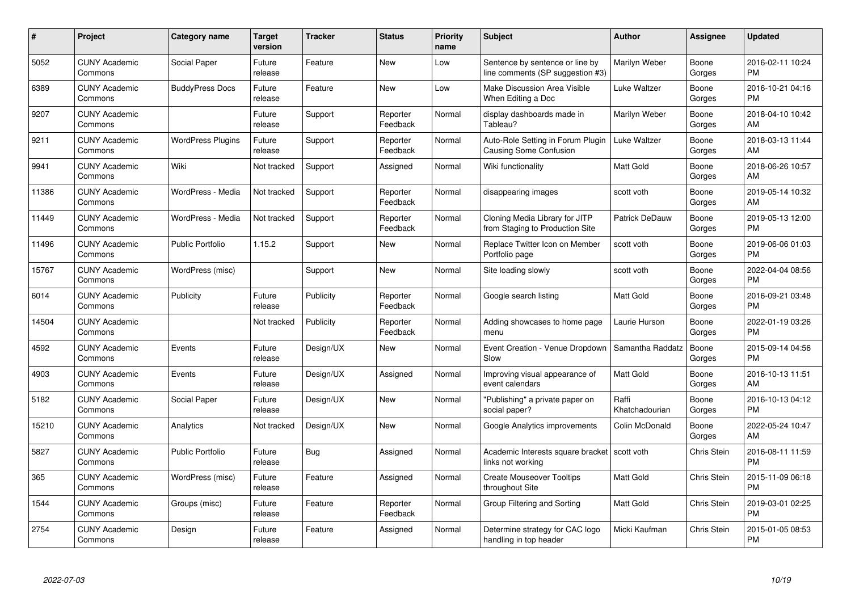| $\#$  | Project                         | Category name            | <b>Target</b><br>version | Tracker   | <b>Status</b>        | <b>Priority</b><br>name | <b>Subject</b>                                                      | <b>Author</b>           | Assignee           | <b>Updated</b>                |
|-------|---------------------------------|--------------------------|--------------------------|-----------|----------------------|-------------------------|---------------------------------------------------------------------|-------------------------|--------------------|-------------------------------|
| 5052  | <b>CUNY Academic</b><br>Commons | Social Paper             | Future<br>release        | Feature   | <b>New</b>           | Low                     | Sentence by sentence or line by<br>line comments (SP suggestion #3) | Marilyn Weber           | Boone<br>Gorges    | 2016-02-11 10:24<br><b>PM</b> |
| 6389  | <b>CUNY Academic</b><br>Commons | <b>BuddyPress Docs</b>   | Future<br>release        | Feature   | <b>New</b>           | Low                     | Make Discussion Area Visible<br>When Editing a Doc                  | Luke Waltzer            | Boone<br>Gorges    | 2016-10-21 04:16<br><b>PM</b> |
| 9207  | <b>CUNY Academic</b><br>Commons |                          | Future<br>release        | Support   | Reporter<br>Feedback | Normal                  | display dashboards made in<br>Tableau?                              | Marilyn Weber           | Boone<br>Gorges    | 2018-04-10 10:42<br>AM        |
| 9211  | <b>CUNY Academic</b><br>Commons | <b>WordPress Plugins</b> | Future<br>release        | Support   | Reporter<br>Feedback | Normal                  | Auto-Role Setting in Forum Plugin<br><b>Causing Some Confusion</b>  | Luke Waltzer            | Boone<br>Gorges    | 2018-03-13 11:44<br>AM        |
| 9941  | <b>CUNY Academic</b><br>Commons | Wiki                     | Not tracked              | Support   | Assigned             | Normal                  | Wiki functionality                                                  | <b>Matt Gold</b>        | Boone<br>Gorges    | 2018-06-26 10:57<br>AM        |
| 11386 | <b>CUNY Academic</b><br>Commons | WordPress - Media        | Not tracked              | Support   | Reporter<br>Feedback | Normal                  | disappearing images                                                 | scott voth              | Boone<br>Gorges    | 2019-05-14 10:32<br>AM        |
| 11449 | <b>CUNY Academic</b><br>Commons | WordPress - Media        | Not tracked              | Support   | Reporter<br>Feedback | Normal                  | Cloning Media Library for JITP<br>from Staging to Production Site   | <b>Patrick DeDauw</b>   | Boone<br>Gorges    | 2019-05-13 12:00<br><b>PM</b> |
| 11496 | <b>CUNY Academic</b><br>Commons | <b>Public Portfolio</b>  | 1.15.2                   | Support   | <b>New</b>           | Normal                  | Replace Twitter Icon on Member<br>Portfolio page                    | scott voth              | Boone<br>Gorges    | 2019-06-06 01:03<br><b>PM</b> |
| 15767 | <b>CUNY Academic</b><br>Commons | WordPress (misc)         |                          | Support   | <b>New</b>           | Normal                  | Site loading slowly                                                 | scott voth              | Boone<br>Gorges    | 2022-04-04 08:56<br><b>PM</b> |
| 6014  | <b>CUNY Academic</b><br>Commons | Publicity                | Future<br>release        | Publicity | Reporter<br>Feedback | Normal                  | Google search listing                                               | <b>Matt Gold</b>        | Boone<br>Gorges    | 2016-09-21 03:48<br><b>PM</b> |
| 14504 | <b>CUNY Academic</b><br>Commons |                          | Not tracked              | Publicity | Reporter<br>Feedback | Normal                  | Adding showcases to home page<br>menu                               | Laurie Hurson           | Boone<br>Gorges    | 2022-01-19 03:26<br><b>PM</b> |
| 4592  | <b>CUNY Academic</b><br>Commons | Events                   | Future<br>release        | Design/UX | <b>New</b>           | Normal                  | Event Creation - Venue Dropdown<br>Slow                             | Samantha Raddatz        | Boone<br>Gorges    | 2015-09-14 04:56<br><b>PM</b> |
| 4903  | <b>CUNY Academic</b><br>Commons | Events                   | Future<br>release        | Design/UX | Assigned             | Normal                  | Improving visual appearance of<br>event calendars                   | <b>Matt Gold</b>        | Boone<br>Gorges    | 2016-10-13 11:51<br>AM        |
| 5182  | <b>CUNY Academic</b><br>Commons | Social Paper             | Future<br>release        | Design/UX | New                  | Normal                  | "Publishing" a private paper on<br>social paper?                    | Raffi<br>Khatchadourian | Boone<br>Gorges    | 2016-10-13 04:12<br><b>PM</b> |
| 15210 | <b>CUNY Academic</b><br>Commons | Analytics                | Not tracked              | Design/UX | <b>New</b>           | Normal                  | Google Analytics improvements                                       | Colin McDonald          | Boone<br>Gorges    | 2022-05-24 10:47<br>AM        |
| 5827  | <b>CUNY Academic</b><br>Commons | <b>Public Portfolio</b>  | Future<br>release        | Bug       | Assigned             | Normal                  | Academic Interests square bracket   scott voth<br>links not working |                         | <b>Chris Stein</b> | 2016-08-11 11:59<br><b>PM</b> |
| 365   | <b>CUNY Academic</b><br>Commons | WordPress (misc)         | Future<br>release        | Feature   | Assigned             | Normal                  | <b>Create Mouseover Tooltips</b><br>throughout Site                 | <b>Matt Gold</b>        | Chris Stein        | 2015-11-09 06:18<br><b>PM</b> |
| 1544  | <b>CUNY Academic</b><br>Commons | Groups (misc)            | Future<br>release        | Feature   | Reporter<br>Feedback | Normal                  | Group Filtering and Sorting                                         | <b>Matt Gold</b>        | Chris Stein        | 2019-03-01 02:25<br><b>PM</b> |
| 2754  | <b>CUNY Academic</b><br>Commons | Design                   | Future<br>release        | Feature   | Assigned             | Normal                  | Determine strategy for CAC logo<br>handling in top header           | Micki Kaufman           | <b>Chris Stein</b> | 2015-01-05 08:53<br>PM        |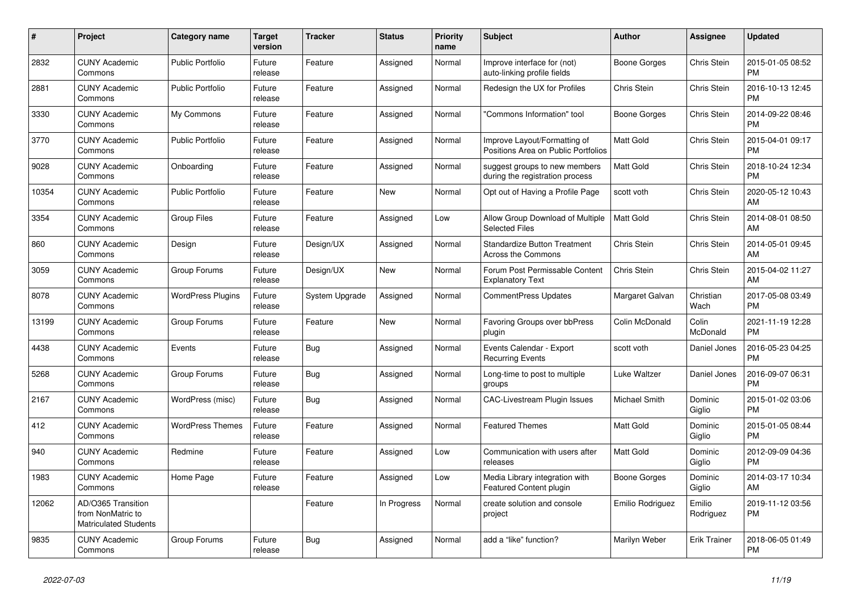| #     | Project                                                                 | Category name            | <b>Target</b><br>version | <b>Tracker</b> | <b>Status</b> | <b>Priority</b><br>name | <b>Subject</b>                                                      | <b>Author</b>        | Assignee            | <b>Updated</b>                |
|-------|-------------------------------------------------------------------------|--------------------------|--------------------------|----------------|---------------|-------------------------|---------------------------------------------------------------------|----------------------|---------------------|-------------------------------|
| 2832  | <b>CUNY Academic</b><br>Commons                                         | <b>Public Portfolio</b>  | Future<br>release        | Feature        | Assigned      | Normal                  | Improve interface for (not)<br>auto-linking profile fields          | Boone Gorges         | <b>Chris Stein</b>  | 2015-01-05 08:52<br><b>PM</b> |
| 2881  | <b>CUNY Academic</b><br>Commons                                         | <b>Public Portfolio</b>  | Future<br>release        | Feature        | Assigned      | Normal                  | Redesign the UX for Profiles                                        | Chris Stein          | Chris Stein         | 2016-10-13 12:45<br><b>PM</b> |
| 3330  | <b>CUNY Academic</b><br>Commons                                         | My Commons               | Future<br>release        | Feature        | Assigned      | Normal                  | "Commons Information" tool                                          | Boone Gorges         | Chris Stein         | 2014-09-22 08:46<br><b>PM</b> |
| 3770  | <b>CUNY Academic</b><br>Commons                                         | <b>Public Portfolio</b>  | Future<br>release        | Feature        | Assigned      | Normal                  | Improve Layout/Formatting of<br>Positions Area on Public Portfolios | <b>Matt Gold</b>     | Chris Stein         | 2015-04-01 09:17<br><b>PM</b> |
| 9028  | <b>CUNY Academic</b><br>Commons                                         | Onboarding               | Future<br>release        | Feature        | Assigned      | Normal                  | suggest groups to new members<br>during the registration process    | Matt Gold            | Chris Stein         | 2018-10-24 12:34<br><b>PM</b> |
| 10354 | <b>CUNY Academic</b><br>Commons                                         | <b>Public Portfolio</b>  | Future<br>release        | Feature        | New           | Normal                  | Opt out of Having a Profile Page                                    | scott voth           | Chris Stein         | 2020-05-12 10:43<br>AM        |
| 3354  | <b>CUNY Academic</b><br>Commons                                         | <b>Group Files</b>       | Future<br>release        | Feature        | Assigned      | Low                     | Allow Group Download of Multiple<br><b>Selected Files</b>           | <b>Matt Gold</b>     | Chris Stein         | 2014-08-01 08:50<br>AM        |
| 860   | <b>CUNY Academic</b><br>Commons                                         | Design                   | Future<br>release        | Design/UX      | Assigned      | Normal                  | <b>Standardize Button Treatment</b><br><b>Across the Commons</b>    | Chris Stein          | Chris Stein         | 2014-05-01 09:45<br>AM        |
| 3059  | <b>CUNY Academic</b><br>Commons                                         | Group Forums             | Future<br>release        | Design/UX      | New           | Normal                  | Forum Post Permissable Content<br><b>Explanatory Text</b>           | Chris Stein          | Chris Stein         | 2015-04-02 11:27<br>AM        |
| 8078  | <b>CUNY Academic</b><br>Commons                                         | <b>WordPress Plugins</b> | Future<br>release        | System Upgrade | Assigned      | Normal                  | <b>CommentPress Updates</b>                                         | Margaret Galvan      | Christian<br>Wach   | 2017-05-08 03:49<br><b>PM</b> |
| 13199 | <b>CUNY Academic</b><br>Commons                                         | Group Forums             | Future<br>release        | Feature        | New           | Normal                  | Favoring Groups over bbPress<br>plugin                              | Colin McDonald       | Colin<br>McDonald   | 2021-11-19 12:28<br><b>PM</b> |
| 4438  | <b>CUNY Academic</b><br>Commons                                         | Events                   | Future<br>release        | Bug            | Assigned      | Normal                  | Events Calendar - Export<br><b>Recurring Events</b>                 | scott voth           | Daniel Jones        | 2016-05-23 04:25<br><b>PM</b> |
| 5268  | <b>CUNY Academic</b><br>Commons                                         | Group Forums             | Future<br>release        | <b>Bug</b>     | Assigned      | Normal                  | Long-time to post to multiple<br>groups                             | Luke Waltzer         | Daniel Jones        | 2016-09-07 06:31<br><b>PM</b> |
| 2167  | <b>CUNY Academic</b><br>Commons                                         | WordPress (misc)         | Future<br>release        | <b>Bug</b>     | Assigned      | Normal                  | <b>CAC-Livestream Plugin Issues</b>                                 | <b>Michael Smith</b> | Dominic<br>Giglio   | 2015-01-02 03:06<br><b>PM</b> |
| 412   | <b>CUNY Academic</b><br>Commons                                         | <b>WordPress Themes</b>  | Future<br>release        | Feature        | Assigned      | Normal                  | <b>Featured Themes</b>                                              | Matt Gold            | Dominic<br>Giglio   | 2015-01-05 08:44<br><b>PM</b> |
| 940   | <b>CUNY Academic</b><br>Commons                                         | Redmine                  | Future<br>release        | Feature        | Assigned      | Low                     | Communication with users after<br>releases                          | <b>Matt Gold</b>     | Dominic<br>Giglio   | 2012-09-09 04:36<br><b>PM</b> |
| 1983  | <b>CUNY Academic</b><br>Commons                                         | Home Page                | Future<br>release        | Feature        | Assigned      | Low                     | Media Library integration with<br>Featured Content plugin           | <b>Boone Gorges</b>  | Dominic<br>Giglio   | 2014-03-17 10:34<br>AM        |
| 12062 | AD/O365 Transition<br>from NonMatric to<br><b>Matriculated Students</b> |                          |                          | Feature        | In Progress   | Normal                  | create solution and console<br>project                              | Emilio Rodriguez     | Emilio<br>Rodriguez | 2019-11-12 03:56<br><b>PM</b> |
| 9835  | <b>CUNY Academic</b><br>Commons                                         | Group Forums             | Future<br>release        | Bug            | Assigned      | Normal                  | add a "like" function?                                              | Marilyn Weber        | <b>Erik Trainer</b> | 2018-06-05 01:49<br><b>PM</b> |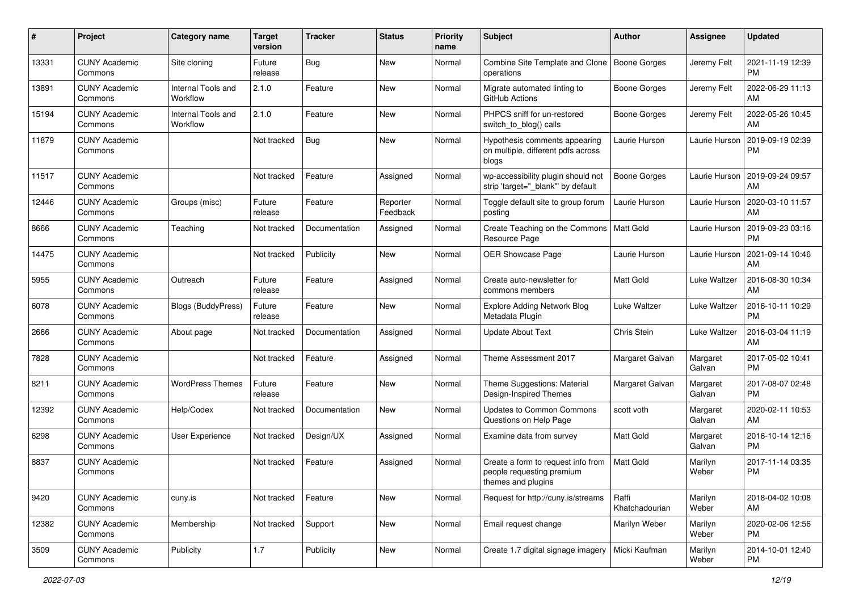| #     | Project                         | <b>Category name</b>           | <b>Target</b><br>version | <b>Tracker</b> | <b>Status</b>        | <b>Priority</b><br>name | Subject                                                                               | Author                    | Assignee           | <b>Updated</b>                |
|-------|---------------------------------|--------------------------------|--------------------------|----------------|----------------------|-------------------------|---------------------------------------------------------------------------------------|---------------------------|--------------------|-------------------------------|
| 13331 | <b>CUNY Academic</b><br>Commons | Site cloning                   | Future<br>release        | Bug            | <b>New</b>           | Normal                  | Combine Site Template and Clone   Boone Gorges<br>operations                          |                           | Jeremy Felt        | 2021-11-19 12:39<br><b>PM</b> |
| 13891 | <b>CUNY Academic</b><br>Commons | Internal Tools and<br>Workflow | 2.1.0                    | Feature        | New                  | Normal                  | Migrate automated linting to<br>GitHub Actions                                        | <b>Boone Gorges</b>       | Jeremy Felt        | 2022-06-29 11:13<br>AM        |
| 15194 | <b>CUNY Academic</b><br>Commons | Internal Tools and<br>Workflow | 2.1.0                    | Feature        | <b>New</b>           | Normal                  | PHPCS sniff for un-restored<br>switch_to_blog() calls                                 | Boone Gorges              | Jeremy Felt        | 2022-05-26 10:45<br>AM        |
| 11879 | <b>CUNY Academic</b><br>Commons |                                | Not tracked              | Bug            | <b>New</b>           | Normal                  | Hypothesis comments appearing<br>on multiple, different pdfs across<br>blogs          | Laurie Hurson             | Laurie Hurson      | 2019-09-19 02:39<br><b>PM</b> |
| 11517 | <b>CUNY Academic</b><br>Commons |                                | Not tracked              | Feature        | Assigned             | Normal                  | wp-accessibility plugin should not<br>strip 'target=" blank" by default               | <b>Boone Gorges</b>       | Laurie Hurson      | 2019-09-24 09:57<br>AM        |
| 12446 | <b>CUNY Academic</b><br>Commons | Groups (misc)                  | Future<br>release        | Feature        | Reporter<br>Feedback | Normal                  | Toggle default site to group forum<br>posting                                         | Laurie Hurson             | Laurie Hurson      | 2020-03-10 11:57<br>AM        |
| 8666  | <b>CUNY Academic</b><br>Commons | Teaching                       | Not tracked              | Documentation  | Assigned             | Normal                  | Create Teaching on the Commons<br>Resource Page                                       | Matt Gold                 | Laurie Hurson      | 2019-09-23 03:16<br><b>PM</b> |
| 14475 | <b>CUNY Academic</b><br>Commons |                                | Not tracked              | Publicity      | <b>New</b>           | Normal                  | OER Showcase Page                                                                     | Laurie Hurson             | Laurie Hurson      | 2021-09-14 10:46<br>AM        |
| 5955  | <b>CUNY Academic</b><br>Commons | Outreach                       | Future<br>release        | Feature        | Assigned             | Normal                  | Create auto-newsletter for<br>commons members                                         | <b>Matt Gold</b>          | Luke Waltzer       | 2016-08-30 10:34<br>AM        |
| 6078  | <b>CUNY Academic</b><br>Commons | <b>Blogs (BuddyPress)</b>      | Future<br>release        | Feature        | New                  | Normal                  | <b>Explore Adding Network Blog</b><br>Metadata Plugin                                 | Luke Waltzer              | Luke Waltzer       | 2016-10-11 10:29<br><b>PM</b> |
| 2666  | <b>CUNY Academic</b><br>Commons | About page                     | Not tracked              | Documentation  | Assigned             | Normal                  | <b>Update About Text</b>                                                              | Chris Stein               | Luke Waltzer       | 2016-03-04 11:19<br>AM        |
| 7828  | <b>CUNY Academic</b><br>Commons |                                | Not tracked              | Feature        | Assigned             | Normal                  | Theme Assessment 2017                                                                 | Margaret Galvan           | Margaret<br>Galvan | 2017-05-02 10:41<br><b>PM</b> |
| 8211  | <b>CUNY Academic</b><br>Commons | <b>WordPress Themes</b>        | Future<br>release        | Feature        | <b>New</b>           | Normal                  | Theme Suggestions: Material<br>Design-Inspired Themes                                 | Margaret Galvan           | Margaret<br>Galvan | 2017-08-07 02:48<br><b>PM</b> |
| 12392 | <b>CUNY Academic</b><br>Commons | Help/Codex                     | Not tracked              | Documentation  | New                  | Normal                  | Updates to Common Commons<br>Questions on Help Page                                   | scott voth                | Margaret<br>Galvan | 2020-02-11 10:53<br>AM        |
| 6298  | <b>CUNY Academic</b><br>Commons | User Experience                | Not tracked              | Design/UX      | Assigned             | Normal                  | Examine data from survey                                                              | <b>Matt Gold</b>          | Margaret<br>Galvan | 2016-10-14 12:16<br><b>PM</b> |
| 8837  | <b>CUNY Academic</b><br>Commons |                                | Not tracked              | Feature        | Assigned             | Normal                  | Create a form to request info from<br>people requesting premium<br>themes and plugins | <b>Matt Gold</b>          | Marilyn<br>Weber   | 2017-11-14 03:35<br><b>PM</b> |
| 9420  | <b>CUNY Academic</b><br>Commons | cuny.is                        | Not tracked              | Feature        | New                  | Normal                  | Request for http://cuny.is/streams                                                    | l Raffi<br>Khatchadourian | Marilyn<br>Weber   | 2018-04-02 10:08<br>AM        |
| 12382 | <b>CUNY Academic</b><br>Commons | Membership                     | Not tracked              | Support        | New                  | Normal                  | Email request change                                                                  | Marilyn Weber             | Marilyn<br>Weber   | 2020-02-06 12:56<br><b>PM</b> |
| 3509  | <b>CUNY Academic</b><br>Commons | Publicity                      | 1.7                      | Publicity      | New                  | Normal                  | Create 1.7 digital signage imagery                                                    | Micki Kaufman             | Marilyn<br>Weber   | 2014-10-01 12:40<br><b>PM</b> |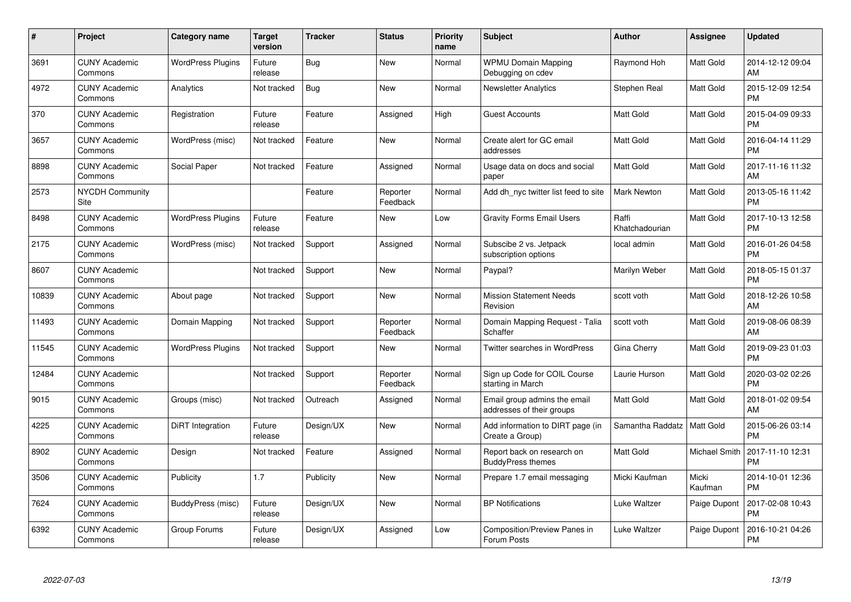| #     | Project                         | <b>Category name</b>     | <b>Target</b><br>version | <b>Tracker</b> | <b>Status</b>        | <b>Priority</b><br>name | <b>Subject</b>                                            | <b>Author</b>           | Assignee         | <b>Updated</b>                |
|-------|---------------------------------|--------------------------|--------------------------|----------------|----------------------|-------------------------|-----------------------------------------------------------|-------------------------|------------------|-------------------------------|
| 3691  | <b>CUNY Academic</b><br>Commons | <b>WordPress Plugins</b> | Future<br>release        | Bug            | <b>New</b>           | Normal                  | <b>WPMU Domain Mapping</b><br>Debugging on cdev           | Raymond Hoh             | Matt Gold        | 2014-12-12 09:04<br>AM        |
| 4972  | <b>CUNY Academic</b><br>Commons | Analytics                | Not tracked              | Bug            | New                  | Normal                  | <b>Newsletter Analytics</b>                               | Stephen Real            | Matt Gold        | 2015-12-09 12:54<br><b>PM</b> |
| 370   | <b>CUNY Academic</b><br>Commons | Registration             | Future<br>release        | Feature        | Assigned             | High                    | <b>Guest Accounts</b>                                     | <b>Matt Gold</b>        | Matt Gold        | 2015-04-09 09:33<br><b>PM</b> |
| 3657  | <b>CUNY Academic</b><br>Commons | WordPress (misc)         | Not tracked              | Feature        | New                  | Normal                  | Create alert for GC email<br>addresses                    | <b>Matt Gold</b>        | Matt Gold        | 2016-04-14 11:29<br><b>PM</b> |
| 8898  | <b>CUNY Academic</b><br>Commons | Social Paper             | Not tracked              | Feature        | Assigned             | Normal                  | Usage data on docs and social<br>paper                    | <b>Matt Gold</b>        | Matt Gold        | 2017-11-16 11:32<br>AM        |
| 2573  | <b>NYCDH Community</b><br>Site  |                          |                          | Feature        | Reporter<br>Feedback | Normal                  | Add dh nyc twitter list feed to site                      | <b>Mark Newton</b>      | Matt Gold        | 2013-05-16 11:42<br><b>PM</b> |
| 8498  | <b>CUNY Academic</b><br>Commons | <b>WordPress Plugins</b> | Future<br>release        | Feature        | New                  | Low                     | <b>Gravity Forms Email Users</b>                          | Raffi<br>Khatchadourian | Matt Gold        | 2017-10-13 12:58<br><b>PM</b> |
| 2175  | <b>CUNY Academic</b><br>Commons | WordPress (misc)         | Not tracked              | Support        | Assigned             | Normal                  | Subscibe 2 vs. Jetpack<br>subscription options            | local admin             | Matt Gold        | 2016-01-26 04:58<br><b>PM</b> |
| 8607  | <b>CUNY Academic</b><br>Commons |                          | Not tracked              | Support        | <b>New</b>           | Normal                  | Paypal?                                                   | Marilyn Weber           | Matt Gold        | 2018-05-15 01:37<br><b>PM</b> |
| 10839 | <b>CUNY Academic</b><br>Commons | About page               | Not tracked              | Support        | <b>New</b>           | Normal                  | <b>Mission Statement Needs</b><br>Revision                | scott voth              | Matt Gold        | 2018-12-26 10:58<br>AM        |
| 11493 | <b>CUNY Academic</b><br>Commons | Domain Mapping           | Not tracked              | Support        | Reporter<br>Feedback | Normal                  | Domain Mapping Request - Talia<br>Schaffer                | scott voth              | Matt Gold        | 2019-08-06 08:39<br>AM        |
| 11545 | <b>CUNY Academic</b><br>Commons | <b>WordPress Plugins</b> | Not tracked              | Support        | <b>New</b>           | Normal                  | Twitter searches in WordPress                             | Gina Cherry             | Matt Gold        | 2019-09-23 01:03<br><b>PM</b> |
| 12484 | <b>CUNY Academic</b><br>Commons |                          | Not tracked              | Support        | Reporter<br>Feedback | Normal                  | Sign up Code for COIL Course<br>starting in March         | Laurie Hurson           | Matt Gold        | 2020-03-02 02:26<br><b>PM</b> |
| 9015  | <b>CUNY Academic</b><br>Commons | Groups (misc)            | Not tracked              | Outreach       | Assigned             | Normal                  | Email group admins the email<br>addresses of their groups | <b>Matt Gold</b>        | Matt Gold        | 2018-01-02 09:54<br>AM        |
| 4225  | <b>CUNY Academic</b><br>Commons | DiRT Integration         | Future<br>release        | Design/UX      | New                  | Normal                  | Add information to DIRT page (in<br>Create a Group)       | Samantha Raddatz        | Matt Gold        | 2015-06-26 03:14<br><b>PM</b> |
| 8902  | <b>CUNY Academic</b><br>Commons | Design                   | Not tracked              | Feature        | Assigned             | Normal                  | Report back on research on<br><b>BuddyPress themes</b>    | Matt Gold               | Michael Smith    | 2017-11-10 12:31<br><b>PM</b> |
| 3506  | <b>CUNY Academic</b><br>Commons | Publicity                | 1.7                      | Publicity      | New                  | Normal                  | Prepare 1.7 email messaging                               | Micki Kaufman           | Micki<br>Kaufman | 2014-10-01 12:36<br><b>PM</b> |
| 7624  | <b>CUNY Academic</b><br>Commons | BuddyPress (misc)        | Future<br>release        | Design/UX      | New                  | Normal                  | <b>BP Notifications</b>                                   | Luke Waltzer            | Paige Dupont     | 2017-02-08 10:43<br><b>PM</b> |
| 6392  | CUNY Academic<br>Commons        | Group Forums             | Future<br>release        | Design/UX      | Assigned             | Low                     | Composition/Preview Panes in<br>Forum Posts               | Luke Waltzer            | Paige Dupont     | 2016-10-21 04:26<br><b>PM</b> |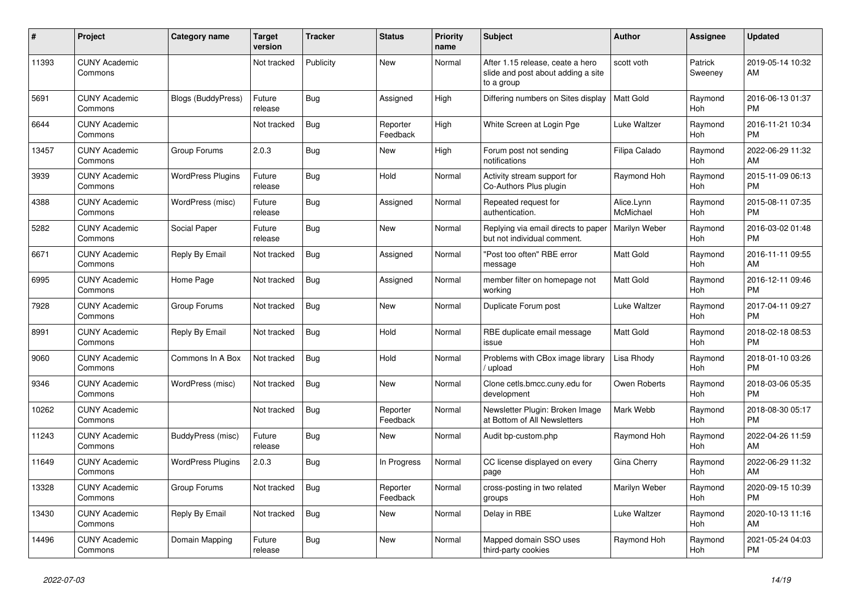| #     | <b>Project</b>                  | <b>Category name</b>      | <b>Target</b><br>version | <b>Tracker</b> | <b>Status</b>        | <b>Priority</b><br>name | <b>Subject</b>                                                                       | <b>Author</b>           | Assignee           | <b>Updated</b>                |
|-------|---------------------------------|---------------------------|--------------------------|----------------|----------------------|-------------------------|--------------------------------------------------------------------------------------|-------------------------|--------------------|-------------------------------|
| 11393 | <b>CUNY Academic</b><br>Commons |                           | Not tracked              | Publicity      | New                  | Normal                  | After 1.15 release, ceate a hero<br>slide and post about adding a site<br>to a group | scott voth              | Patrick<br>Sweeney | 2019-05-14 10:32<br>AM        |
| 5691  | <b>CUNY Academic</b><br>Commons | <b>Blogs (BuddyPress)</b> | Future<br>release        | Bug            | Assigned             | High                    | Differing numbers on Sites display                                                   | <b>Matt Gold</b>        | Raymond<br>Hoh     | 2016-06-13 01:37<br><b>PM</b> |
| 6644  | <b>CUNY Academic</b><br>Commons |                           | Not tracked              | Bug            | Reporter<br>Feedback | High                    | White Screen at Login Pge                                                            | Luke Waltzer            | Raymond<br>Hoh     | 2016-11-21 10:34<br><b>PM</b> |
| 13457 | <b>CUNY Academic</b><br>Commons | Group Forums              | 2.0.3                    | <b>Bug</b>     | <b>New</b>           | High                    | Forum post not sending<br>notifications                                              | Filipa Calado           | Raymond<br>Hoh     | 2022-06-29 11:32<br>AM        |
| 3939  | <b>CUNY Academic</b><br>Commons | <b>WordPress Plugins</b>  | Future<br>release        | Bug            | Hold                 | Normal                  | Activity stream support for<br>Co-Authors Plus plugin                                | Raymond Hoh             | Raymond<br>Hoh     | 2015-11-09 06:13<br><b>PM</b> |
| 4388  | <b>CUNY Academic</b><br>Commons | WordPress (misc)          | Future<br>release        | Bug            | Assigned             | Normal                  | Repeated request for<br>authentication.                                              | Alice.Lynn<br>McMichael | Raymond<br>Hoh     | 2015-08-11 07:35<br><b>PM</b> |
| 5282  | <b>CUNY Academic</b><br>Commons | Social Paper              | Future<br>release        | <b>Bug</b>     | <b>New</b>           | Normal                  | Replying via email directs to paper<br>but not individual comment.                   | Marilyn Weber           | Raymond<br>Hoh     | 2016-03-02 01:48<br><b>PM</b> |
| 6671  | <b>CUNY Academic</b><br>Commons | Reply By Email            | Not tracked              | Bug            | Assigned             | Normal                  | "Post too often" RBE error<br>message                                                | Matt Gold               | Raymond<br>Hoh     | 2016-11-11 09:55<br>AM        |
| 6995  | <b>CUNY Academic</b><br>Commons | Home Page                 | Not tracked              | <b>Bug</b>     | Assigned             | Normal                  | member filter on homepage not<br>working                                             | <b>Matt Gold</b>        | Raymond<br>Hoh     | 2016-12-11 09:46<br><b>PM</b> |
| 7928  | <b>CUNY Academic</b><br>Commons | Group Forums              | Not tracked              | Bug            | <b>New</b>           | Normal                  | Duplicate Forum post                                                                 | Luke Waltzer            | Raymond<br>Hoh     | 2017-04-11 09:27<br><b>PM</b> |
| 8991  | <b>CUNY Academic</b><br>Commons | Reply By Email            | Not tracked              | Bug            | Hold                 | Normal                  | RBE duplicate email message<br>issue                                                 | <b>Matt Gold</b>        | Raymond<br>Hoh     | 2018-02-18 08:53<br><b>PM</b> |
| 9060  | <b>CUNY Academic</b><br>Commons | Commons In A Box          | Not tracked              | Bug            | Hold                 | Normal                  | Problems with CBox image library<br>upload                                           | Lisa Rhody              | Raymond<br>Hoh     | 2018-01-10 03:26<br><b>PM</b> |
| 9346  | <b>CUNY Academic</b><br>Commons | WordPress (misc)          | Not tracked              | Bug            | <b>New</b>           | Normal                  | Clone cetls.bmcc.cuny.edu for<br>development                                         | Owen Roberts            | Raymond<br>Hoh     | 2018-03-06 05:35<br><b>PM</b> |
| 10262 | <b>CUNY Academic</b><br>Commons |                           | Not tracked              | Bug            | Reporter<br>Feedback | Normal                  | Newsletter Plugin: Broken Image<br>at Bottom of All Newsletters                      | Mark Webb               | Raymond<br>Hoh     | 2018-08-30 05:17<br><b>PM</b> |
| 11243 | <b>CUNY Academic</b><br>Commons | BuddyPress (misc)         | Future<br>release        | Bug            | New                  | Normal                  | Audit bp-custom.php                                                                  | Raymond Hoh             | Raymond<br>Hoh     | 2022-04-26 11:59<br>AM        |
| 11649 | <b>CUNY Academic</b><br>Commons | <b>WordPress Plugins</b>  | 2.0.3                    | <b>Bug</b>     | In Progress          | Normal                  | CC license displayed on every<br>page                                                | Gina Cherry             | Raymond<br>Hoh     | 2022-06-29 11:32<br>AM        |
| 13328 | <b>CUNY Academic</b><br>Commons | Group Forums              | Not tracked              | Bug            | Reporter<br>Feedback | Normal                  | cross-posting in two related<br>groups                                               | Marilyn Weber           | Raymond<br>Hoh     | 2020-09-15 10:39<br><b>PM</b> |
| 13430 | <b>CUNY Academic</b><br>Commons | Reply By Email            | Not tracked              | <b>Bug</b>     | New                  | Normal                  | Delay in RBE                                                                         | Luke Waltzer            | Raymond<br>Hoh     | 2020-10-13 11:16<br>AM        |
| 14496 | <b>CUNY Academic</b><br>Commons | Domain Mapping            | Future<br>release        | Bug            | <b>New</b>           | Normal                  | Mapped domain SSO uses<br>third-party cookies                                        | Raymond Hoh             | Raymond<br>Hoh     | 2021-05-24 04:03<br><b>PM</b> |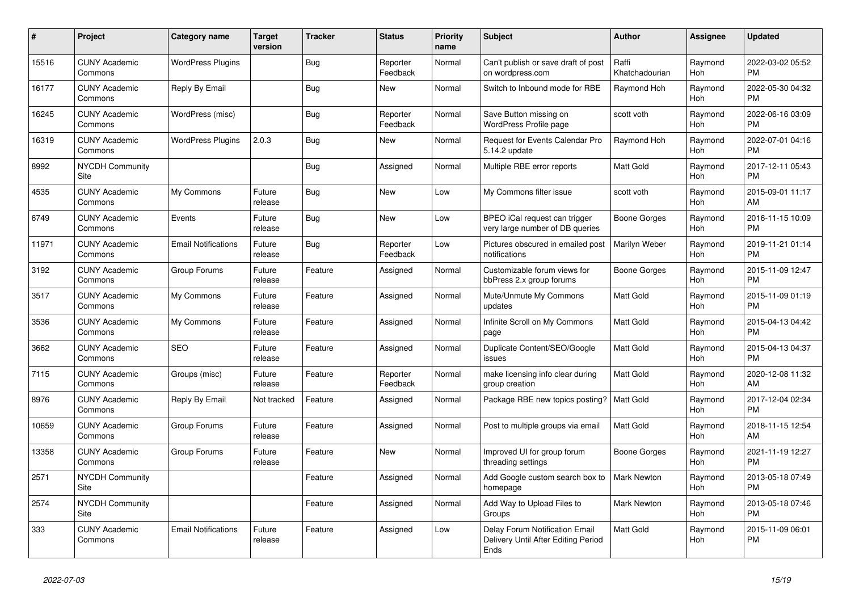| #     | Project                         | <b>Category name</b>       | <b>Target</b><br>version | <b>Tracker</b> | <b>Status</b>        | <b>Priority</b><br>name | <b>Subject</b>                                                                | <b>Author</b>           | <b>Assignee</b>       | <b>Updated</b>                |
|-------|---------------------------------|----------------------------|--------------------------|----------------|----------------------|-------------------------|-------------------------------------------------------------------------------|-------------------------|-----------------------|-------------------------------|
| 15516 | <b>CUNY Academic</b><br>Commons | <b>WordPress Plugins</b>   |                          | Bug            | Reporter<br>Feedback | Normal                  | Can't publish or save draft of post<br>on wordpress.com                       | Raffi<br>Khatchadourian | Raymond<br>Hoh        | 2022-03-02 05:52<br><b>PM</b> |
| 16177 | <b>CUNY Academic</b><br>Commons | Reply By Email             |                          | Bug            | New                  | Normal                  | Switch to Inbound mode for RBE                                                | Raymond Hoh             | Raymond<br>Hoh        | 2022-05-30 04:32<br><b>PM</b> |
| 16245 | <b>CUNY Academic</b><br>Commons | WordPress (misc)           |                          | Bug            | Reporter<br>Feedback | Normal                  | Save Button missing on<br>WordPress Profile page                              | scott voth              | Raymond<br>Hoh        | 2022-06-16 03:09<br><b>PM</b> |
| 16319 | <b>CUNY Academic</b><br>Commons | <b>WordPress Plugins</b>   | 2.0.3                    | Bug            | <b>New</b>           | Normal                  | <b>Request for Events Calendar Pro</b><br>5.14.2 update                       | Raymond Hoh             | Raymond<br>Hoh        | 2022-07-01 04:16<br><b>PM</b> |
| 8992  | NYCDH Community<br>Site         |                            |                          | Bug            | Assigned             | Normal                  | Multiple RBE error reports                                                    | Matt Gold               | Raymond<br>Hoh        | 2017-12-11 05:43<br><b>PM</b> |
| 4535  | <b>CUNY Academic</b><br>Commons | My Commons                 | Future<br>release        | Bug            | New                  | Low                     | My Commons filter issue                                                       | scott voth              | Raymond<br>Hoh        | 2015-09-01 11:17<br>AM        |
| 6749  | <b>CUNY Academic</b><br>Commons | Events                     | Future<br>release        | Bug            | <b>New</b>           | Low                     | BPEO iCal request can trigger<br>very large number of DB queries              | Boone Gorges            | Raymond<br>Hoh        | 2016-11-15 10:09<br><b>PM</b> |
| 11971 | <b>CUNY Academic</b><br>Commons | <b>Email Notifications</b> | Future<br>release        | Bug            | Reporter<br>Feedback | Low                     | Pictures obscured in emailed post<br>notifications                            | Marilyn Weber           | Raymond<br><b>Hoh</b> | 2019-11-21 01:14<br><b>PM</b> |
| 3192  | <b>CUNY Academic</b><br>Commons | Group Forums               | Future<br>release        | Feature        | Assigned             | Normal                  | Customizable forum views for<br>bbPress 2.x group forums                      | Boone Gorges            | Raymond<br>Hoh        | 2015-11-09 12:47<br><b>PM</b> |
| 3517  | <b>CUNY Academic</b><br>Commons | My Commons                 | Future<br>release        | Feature        | Assigned             | Normal                  | Mute/Unmute My Commons<br>updates                                             | <b>Matt Gold</b>        | Raymond<br>Hoh        | 2015-11-09 01:19<br><b>PM</b> |
| 3536  | <b>CUNY Academic</b><br>Commons | My Commons                 | Future<br>release        | Feature        | Assigned             | Normal                  | Infinite Scroll on My Commons<br>page                                         | Matt Gold               | Raymond<br>Hoh        | 2015-04-13 04:42<br><b>PM</b> |
| 3662  | <b>CUNY Academic</b><br>Commons | <b>SEO</b>                 | Future<br>release        | Feature        | Assigned             | Normal                  | Duplicate Content/SEO/Google<br>issues                                        | <b>Matt Gold</b>        | Raymond<br>Hoh        | 2015-04-13 04:37<br><b>PM</b> |
| 7115  | <b>CUNY Academic</b><br>Commons | Groups (misc)              | Future<br>release        | Feature        | Reporter<br>Feedback | Normal                  | make licensing info clear during<br>group creation                            | <b>Matt Gold</b>        | Raymond<br>Hoh        | 2020-12-08 11:32<br>AM        |
| 8976  | <b>CUNY Academic</b><br>Commons | Reply By Email             | Not tracked              | Feature        | Assigned             | Normal                  | Package RBE new topics posting?                                               | <b>Matt Gold</b>        | Raymond<br>Hoh        | 2017-12-04 02:34<br><b>PM</b> |
| 10659 | <b>CUNY Academic</b><br>Commons | Group Forums               | Future<br>release        | Feature        | Assigned             | Normal                  | Post to multiple groups via email                                             | <b>Matt Gold</b>        | Raymond<br>Hoh        | 2018-11-15 12:54<br>AM        |
| 13358 | <b>CUNY Academic</b><br>Commons | Group Forums               | Future<br>release        | Feature        | New                  | Normal                  | Improved UI for group forum<br>threading settings                             | Boone Gorges            | Raymond<br>Hoh        | 2021-11-19 12:27<br><b>PM</b> |
| 2571  | <b>NYCDH Community</b><br>Site  |                            |                          | Feature        | Assigned             | Normal                  | Add Google custom search box to<br>homepage                                   | <b>Mark Newton</b>      | Raymond<br>Hoh        | 2013-05-18 07:49<br><b>PM</b> |
| 2574  | NYCDH Community<br>Site         |                            |                          | Feature        | Assigned             | Normal                  | Add Way to Upload Files to<br>Groups                                          | <b>Mark Newton</b>      | Raymond<br>Hoh        | 2013-05-18 07:46<br><b>PM</b> |
| 333   | <b>CUNY Academic</b><br>Commons | <b>Email Notifications</b> | Future<br>release        | Feature        | Assigned             | Low                     | Delay Forum Notification Email<br>Delivery Until After Editing Period<br>Ends | <b>Matt Gold</b>        | Raymond<br>Hoh        | 2015-11-09 06:01<br><b>PM</b> |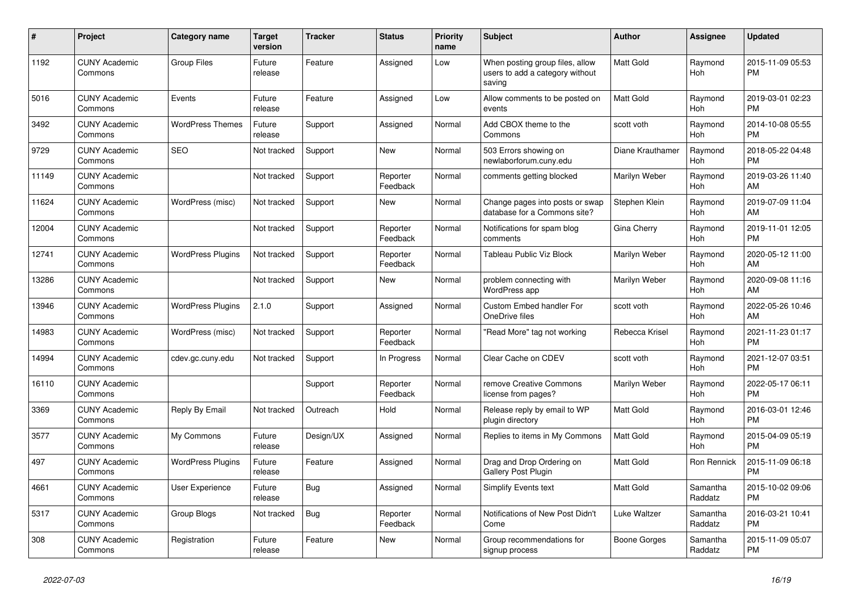| #     | Project                         | Category name            | <b>Target</b><br>version | <b>Tracker</b> | <b>Status</b>        | <b>Priority</b><br>name | <b>Subject</b>                                                               | <b>Author</b>    | Assignee            | <b>Updated</b>                |
|-------|---------------------------------|--------------------------|--------------------------|----------------|----------------------|-------------------------|------------------------------------------------------------------------------|------------------|---------------------|-------------------------------|
| 1192  | <b>CUNY Academic</b><br>Commons | <b>Group Files</b>       | Future<br>release        | Feature        | Assigned             | Low                     | When posting group files, allow<br>users to add a category without<br>saving | <b>Matt Gold</b> | Raymond<br>Hoh      | 2015-11-09 05:53<br><b>PM</b> |
| 5016  | <b>CUNY Academic</b><br>Commons | Events                   | Future<br>release        | Feature        | Assigned             | Low                     | Allow comments to be posted on<br>events                                     | <b>Matt Gold</b> | Raymond<br>Hoh      | 2019-03-01 02:23<br><b>PM</b> |
| 3492  | <b>CUNY Academic</b><br>Commons | <b>WordPress Themes</b>  | Future<br>release        | Support        | Assigned             | Normal                  | Add CBOX theme to the<br>Commons                                             | scott voth       | Raymond<br>Hoh      | 2014-10-08 05:55<br><b>PM</b> |
| 9729  | <b>CUNY Academic</b><br>Commons | <b>SEO</b>               | Not tracked              | Support        | <b>New</b>           | Normal                  | 503 Errors showing on<br>newlaborforum.cuny.edu                              | Diane Krauthamer | Raymond<br>Hoh      | 2018-05-22 04:48<br><b>PM</b> |
| 11149 | <b>CUNY Academic</b><br>Commons |                          | Not tracked              | Support        | Reporter<br>Feedback | Normal                  | comments getting blocked                                                     | Marilyn Weber    | Raymond<br>Hoh      | 2019-03-26 11:40<br>AM        |
| 11624 | <b>CUNY Academic</b><br>Commons | WordPress (misc)         | Not tracked              | Support        | <b>New</b>           | Normal                  | Change pages into posts or swap<br>database for a Commons site?              | Stephen Klein    | Raymond<br>Hoh      | 2019-07-09 11:04<br>AM        |
| 12004 | <b>CUNY Academic</b><br>Commons |                          | Not tracked              | Support        | Reporter<br>Feedback | Normal                  | Notifications for spam blog<br>comments                                      | Gina Cherry      | Raymond<br>Hoh      | 2019-11-01 12:05<br><b>PM</b> |
| 12741 | <b>CUNY Academic</b><br>Commons | <b>WordPress Plugins</b> | Not tracked              | Support        | Reporter<br>Feedback | Normal                  | Tableau Public Viz Block                                                     | Marilyn Weber    | Raymond<br>Hoh      | 2020-05-12 11:00<br>AM        |
| 13286 | <b>CUNY Academic</b><br>Commons |                          | Not tracked              | Support        | <b>New</b>           | Normal                  | problem connecting with<br><b>WordPress app</b>                              | Marilyn Weber    | Raymond<br>Hoh      | 2020-09-08 11:16<br>AM        |
| 13946 | <b>CUNY Academic</b><br>Commons | <b>WordPress Plugins</b> | 2.1.0                    | Support        | Assigned             | Normal                  | Custom Embed handler For<br>OneDrive files                                   | scott voth       | Raymond<br>Hoh      | 2022-05-26 10:46<br>AM        |
| 14983 | <b>CUNY Academic</b><br>Commons | WordPress (misc)         | Not tracked              | Support        | Reporter<br>Feedback | Normal                  | "Read More" tag not working                                                  | Rebecca Krisel   | Raymond<br>Hoh      | 2021-11-23 01:17<br><b>PM</b> |
| 14994 | <b>CUNY Academic</b><br>Commons | cdev.gc.cuny.edu         | Not tracked              | Support        | In Progress          | Normal                  | Clear Cache on CDEV                                                          | scott voth       | Raymond<br>Hoh      | 2021-12-07 03:51<br><b>PM</b> |
| 16110 | <b>CUNY Academic</b><br>Commons |                          |                          | Support        | Reporter<br>Feedback | Normal                  | remove Creative Commons<br>license from pages?                               | Marilyn Weber    | Raymond<br>Hoh      | 2022-05-17 06:11<br><b>PM</b> |
| 3369  | <b>CUNY Academic</b><br>Commons | Reply By Email           | Not tracked              | Outreach       | Hold                 | Normal                  | Release reply by email to WP<br>plugin directory                             | <b>Matt Gold</b> | Raymond<br>Hoh      | 2016-03-01 12:46<br><b>PM</b> |
| 3577  | <b>CUNY Academic</b><br>Commons | My Commons               | Future<br>release        | Design/UX      | Assigned             | Normal                  | Replies to items in My Commons                                               | <b>Matt Gold</b> | Raymond<br>Hoh      | 2015-04-09 05:19<br><b>PM</b> |
| 497   | <b>CUNY Academic</b><br>Commons | <b>WordPress Plugins</b> | Future<br>release        | Feature        | Assigned             | Normal                  | Drag and Drop Ordering on<br><b>Gallery Post Plugin</b>                      | <b>Matt Gold</b> | Ron Rennick         | 2015-11-09 06:18<br><b>PM</b> |
| 4661  | <b>CUNY Academic</b><br>Commons | User Experience          | Future<br>release        | Bug            | Assigned             | Normal                  | Simplify Events text                                                         | <b>Matt Gold</b> | Samantha<br>Raddatz | 2015-10-02 09:06<br><b>PM</b> |
| 5317  | <b>CUNY Academic</b><br>Commons | Group Blogs              | Not tracked              | Bug            | Reporter<br>Feedback | Normal                  | Notifications of New Post Didn't<br>Come                                     | Luke Waltzer     | Samantha<br>Raddatz | 2016-03-21 10:41<br><b>PM</b> |
| 308   | <b>CUNY Academic</b><br>Commons | Registration             | Future<br>release        | Feature        | <b>New</b>           | Normal                  | Group recommendations for<br>signup process                                  | Boone Gorges     | Samantha<br>Raddatz | 2015-11-09 05:07<br><b>PM</b> |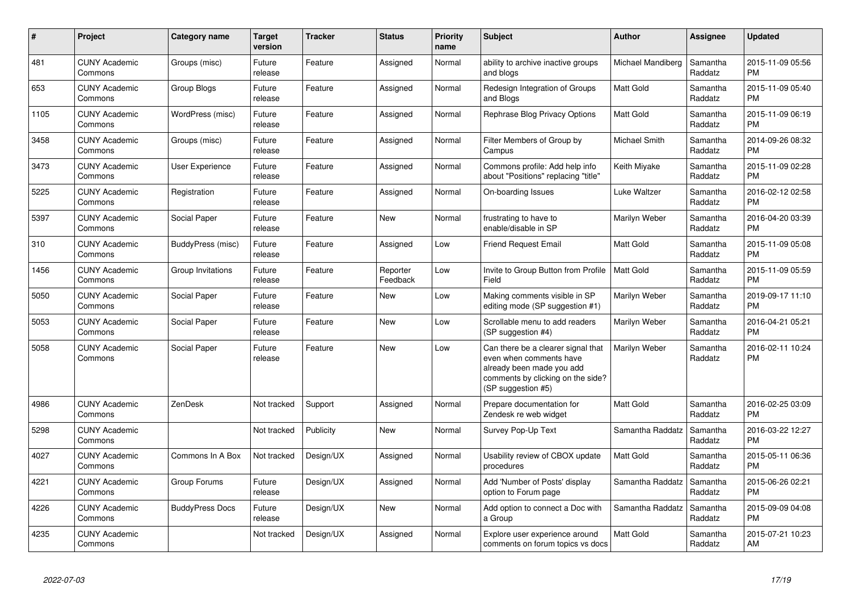| #    | <b>Project</b>                  | Category name          | <b>Target</b><br>version | <b>Tracker</b> | <b>Status</b>        | <b>Priority</b><br>name | <b>Subject</b>                                                                                                                                        | <b>Author</b>     | Assignee            | <b>Updated</b>                |
|------|---------------------------------|------------------------|--------------------------|----------------|----------------------|-------------------------|-------------------------------------------------------------------------------------------------------------------------------------------------------|-------------------|---------------------|-------------------------------|
| 481  | <b>CUNY Academic</b><br>Commons | Groups (misc)          | Future<br>release        | Feature        | Assigned             | Normal                  | ability to archive inactive groups<br>and blogs                                                                                                       | Michael Mandiberg | Samantha<br>Raddatz | 2015-11-09 05:56<br><b>PM</b> |
| 653  | <b>CUNY Academic</b><br>Commons | <b>Group Blogs</b>     | Future<br>release        | Feature        | Assigned             | Normal                  | Redesign Integration of Groups<br>and Blogs                                                                                                           | Matt Gold         | Samantha<br>Raddatz | 2015-11-09 05:40<br><b>PM</b> |
| 1105 | <b>CUNY Academic</b><br>Commons | WordPress (misc)       | Future<br>release        | Feature        | Assigned             | Normal                  | Rephrase Blog Privacy Options                                                                                                                         | Matt Gold         | Samantha<br>Raddatz | 2015-11-09 06:19<br><b>PM</b> |
| 3458 | <b>CUNY Academic</b><br>Commons | Groups (misc)          | Future<br>release        | Feature        | Assigned             | Normal                  | Filter Members of Group by<br>Campus                                                                                                                  | Michael Smith     | Samantha<br>Raddatz | 2014-09-26 08:32<br><b>PM</b> |
| 3473 | <b>CUNY Academic</b><br>Commons | User Experience        | Future<br>release        | Feature        | Assigned             | Normal                  | Commons profile: Add help info<br>about "Positions" replacing "title"                                                                                 | Keith Miyake      | Samantha<br>Raddatz | 2015-11-09 02:28<br>PM.       |
| 5225 | <b>CUNY Academic</b><br>Commons | Registration           | Future<br>release        | Feature        | Assigned             | Normal                  | On-boarding Issues                                                                                                                                    | Luke Waltzer      | Samantha<br>Raddatz | 2016-02-12 02:58<br>PM.       |
| 5397 | <b>CUNY Academic</b><br>Commons | Social Paper           | Future<br>release        | Feature        | New                  | Normal                  | frustrating to have to<br>enable/disable in SP                                                                                                        | Marilyn Weber     | Samantha<br>Raddatz | 2016-04-20 03:39<br><b>PM</b> |
| 310  | <b>CUNY Academic</b><br>Commons | BuddyPress (misc)      | Future<br>release        | Feature        | Assigned             | Low                     | <b>Friend Request Email</b>                                                                                                                           | <b>Matt Gold</b>  | Samantha<br>Raddatz | 2015-11-09 05:08<br><b>PM</b> |
| 1456 | <b>CUNY Academic</b><br>Commons | Group Invitations      | Future<br>release        | Feature        | Reporter<br>Feedback | Low                     | Invite to Group Button from Profile<br>Field                                                                                                          | <b>Matt Gold</b>  | Samantha<br>Raddatz | 2015-11-09 05:59<br><b>PM</b> |
| 5050 | <b>CUNY Academic</b><br>Commons | Social Paper           | Future<br>release        | Feature        | New                  | Low                     | Making comments visible in SP<br>editing mode (SP suggestion #1)                                                                                      | Marilyn Weber     | Samantha<br>Raddatz | 2019-09-17 11:10<br><b>PM</b> |
| 5053 | <b>CUNY Academic</b><br>Commons | Social Paper           | Future<br>release        | Feature        | New                  | Low                     | Scrollable menu to add readers<br>(SP suggestion #4)                                                                                                  | Marilyn Weber     | Samantha<br>Raddatz | 2016-04-21 05:21<br>PM        |
| 5058 | <b>CUNY Academic</b><br>Commons | Social Paper           | Future<br>release        | Feature        | New                  | Low                     | Can there be a clearer signal that<br>even when comments have<br>already been made you add<br>comments by clicking on the side?<br>(SP suggestion #5) | Marilyn Weber     | Samantha<br>Raddatz | 2016-02-11 10:24<br>PM        |
| 4986 | <b>CUNY Academic</b><br>Commons | ZenDesk                | Not tracked              | Support        | Assigned             | Normal                  | Prepare documentation for<br>Zendesk re web widget                                                                                                    | Matt Gold         | Samantha<br>Raddatz | 2016-02-25 03:09<br><b>PM</b> |
| 5298 | <b>CUNY Academic</b><br>Commons |                        | Not tracked              | Publicity      | New                  | Normal                  | Survey Pop-Up Text                                                                                                                                    | Samantha Raddatz  | Samantha<br>Raddatz | 2016-03-22 12:27<br><b>PM</b> |
| 4027 | <b>CUNY Academic</b><br>Commons | Commons In A Box       | Not tracked              | Design/UX      | Assigned             | Normal                  | Usability review of CBOX update<br>procedures                                                                                                         | Matt Gold         | Samantha<br>Raddatz | 2015-05-11 06:36<br><b>PM</b> |
| 4221 | <b>CUNY Academic</b><br>Commons | Group Forums           | Future<br>release        | Design/UX      | Assigned             | Normal                  | Add 'Number of Posts' display<br>option to Forum page                                                                                                 | Samantha Raddatz  | Samantha<br>Raddatz | 2015-06-26 02:21<br><b>PM</b> |
| 4226 | <b>CUNY Academic</b><br>Commons | <b>BuddyPress Docs</b> | Future<br>release        | Design/UX      | <b>New</b>           | Normal                  | Add option to connect a Doc with<br>a Group                                                                                                           | Samantha Raddatz  | Samantha<br>Raddatz | 2015-09-09 04:08<br><b>PM</b> |
| 4235 | <b>CUNY Academic</b><br>Commons |                        | Not tracked              | Design/UX      | Assigned             | Normal                  | Explore user experience around<br>comments on forum topics vs docs                                                                                    | Matt Gold         | Samantha<br>Raddatz | 2015-07-21 10:23<br>AM        |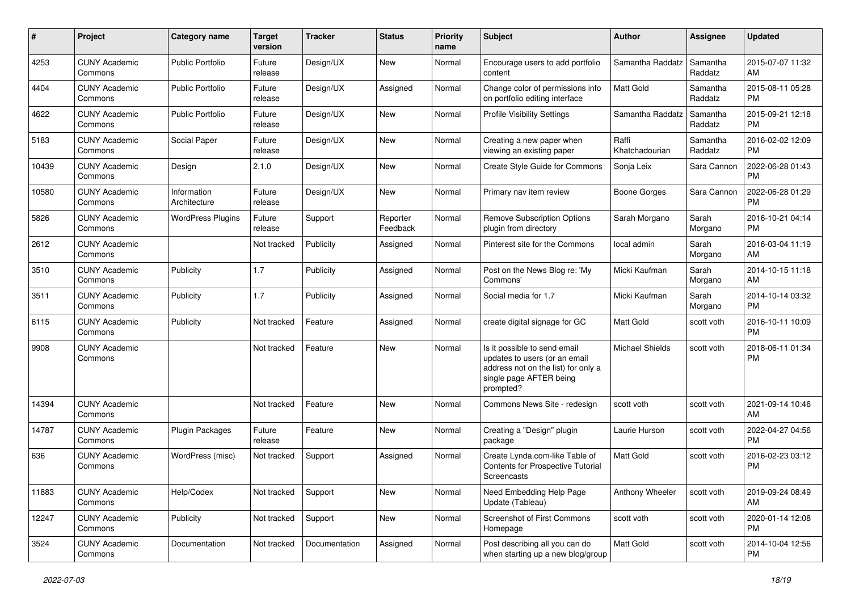| #     | Project                         | <b>Category name</b>        | <b>Target</b><br>version | <b>Tracker</b> | <b>Status</b>        | Priority<br>name | <b>Subject</b>                                                                                                                               | Author                  | <b>Assignee</b>     | <b>Updated</b>                |
|-------|---------------------------------|-----------------------------|--------------------------|----------------|----------------------|------------------|----------------------------------------------------------------------------------------------------------------------------------------------|-------------------------|---------------------|-------------------------------|
| 4253  | <b>CUNY Academic</b><br>Commons | Public Portfolio            | Future<br>release        | Design/UX      | <b>New</b>           | Normal           | Encourage users to add portfolio<br>content                                                                                                  | Samantha Raddatz        | Samantha<br>Raddatz | 2015-07-07 11:32<br>AM        |
| 4404  | <b>CUNY Academic</b><br>Commons | <b>Public Portfolio</b>     | Future<br>release        | Design/UX      | Assigned             | Normal           | Change color of permissions info<br>on portfolio editing interface                                                                           | <b>Matt Gold</b>        | Samantha<br>Raddatz | 2015-08-11 05:28<br><b>PM</b> |
| 4622  | <b>CUNY Academic</b><br>Commons | <b>Public Portfolio</b>     | Future<br>release        | Design/UX      | <b>New</b>           | Normal           | <b>Profile Visibility Settings</b>                                                                                                           | Samantha Raddatz        | Samantha<br>Raddatz | 2015-09-21 12:18<br><b>PM</b> |
| 5183  | <b>CUNY Academic</b><br>Commons | Social Paper                | Future<br>release        | Design/UX      | <b>New</b>           | Normal           | Creating a new paper when<br>viewing an existing paper                                                                                       | Raffi<br>Khatchadourian | Samantha<br>Raddatz | 2016-02-02 12:09<br><b>PM</b> |
| 10439 | <b>CUNY Academic</b><br>Commons | Design                      | 2.1.0                    | Design/UX      | <b>New</b>           | Normal           | Create Style Guide for Commons                                                                                                               | Sonja Leix              | Sara Cannon         | 2022-06-28 01:43<br><b>PM</b> |
| 10580 | <b>CUNY Academic</b><br>Commons | Information<br>Architecture | Future<br>release        | Design/UX      | New                  | Normal           | Primary nav item review                                                                                                                      | <b>Boone Gorges</b>     | Sara Cannon         | 2022-06-28 01:29<br><b>PM</b> |
| 5826  | <b>CUNY Academic</b><br>Commons | <b>WordPress Plugins</b>    | Future<br>release        | Support        | Reporter<br>Feedback | Normal           | <b>Remove Subscription Options</b><br>plugin from directory                                                                                  | Sarah Morgano           | Sarah<br>Morgano    | 2016-10-21 04:14<br><b>PM</b> |
| 2612  | <b>CUNY Academic</b><br>Commons |                             | Not tracked              | Publicity      | Assigned             | Normal           | Pinterest site for the Commons                                                                                                               | local admin             | Sarah<br>Morgano    | 2016-03-04 11:19<br>AM        |
| 3510  | <b>CUNY Academic</b><br>Commons | Publicity                   | 1.7                      | Publicity      | Assigned             | Normal           | Post on the News Blog re: 'My<br>Commons'                                                                                                    | Micki Kaufman           | Sarah<br>Morgano    | 2014-10-15 11:18<br>AM        |
| 3511  | <b>CUNY Academic</b><br>Commons | Publicity                   | 1.7                      | Publicity      | Assigned             | Normal           | Social media for 1.7                                                                                                                         | Micki Kaufman           | Sarah<br>Morgano    | 2014-10-14 03:32<br><b>PM</b> |
| 6115  | <b>CUNY Academic</b><br>Commons | Publicity                   | Not tracked              | Feature        | Assigned             | Normal           | create digital signage for GC                                                                                                                | <b>Matt Gold</b>        | scott voth          | 2016-10-11 10:09<br><b>PM</b> |
| 9908  | <b>CUNY Academic</b><br>Commons |                             | Not tracked              | Feature        | <b>New</b>           | Normal           | Is it possible to send email<br>updates to users (or an email<br>address not on the list) for only a<br>single page AFTER being<br>prompted? | <b>Michael Shields</b>  | scott voth          | 2018-06-11 01:34<br><b>PM</b> |
| 14394 | <b>CUNY Academic</b><br>Commons |                             | Not tracked              | Feature        | New                  | Normal           | Commons News Site - redesign                                                                                                                 | scott voth              | scott voth          | 2021-09-14 10:46<br>AM        |
| 14787 | <b>CUNY Academic</b><br>Commons | <b>Plugin Packages</b>      | Future<br>release        | Feature        | New                  | Normal           | Creating a "Design" plugin<br>package                                                                                                        | Laurie Hurson           | scott voth          | 2022-04-27 04:56<br><b>PM</b> |
| 636   | <b>CUNY Academic</b><br>Commons | WordPress (misc)            | Not tracked              | Support        | Assigned             | Normal           | Create Lynda.com-like Table of<br>Contents for Prospective Tutorial<br>Screencasts                                                           | <b>Matt Gold</b>        | scott voth          | 2016-02-23 03:12<br><b>PM</b> |
| 11883 | <b>CUNY Academic</b><br>Commons | Help/Codex                  | Not tracked              | Support        | New                  | Normal           | Need Embedding Help Page<br>Update (Tableau)                                                                                                 | Anthony Wheeler         | scott voth          | 2019-09-24 08:49<br>AM        |
| 12247 | <b>CUNY Academic</b><br>Commons | Publicity                   | Not tracked              | Support        | New                  | Normal           | Screenshot of First Commons<br>Homepage                                                                                                      | scott voth              | scott voth          | 2020-01-14 12:08<br><b>PM</b> |
| 3524  | <b>CUNY Academic</b><br>Commons | Documentation               | Not tracked              | Documentation  | Assigned             | Normal           | Post describing all you can do<br>when starting up a new blog/group                                                                          | Matt Gold               | scott voth          | 2014-10-04 12:56<br><b>PM</b> |